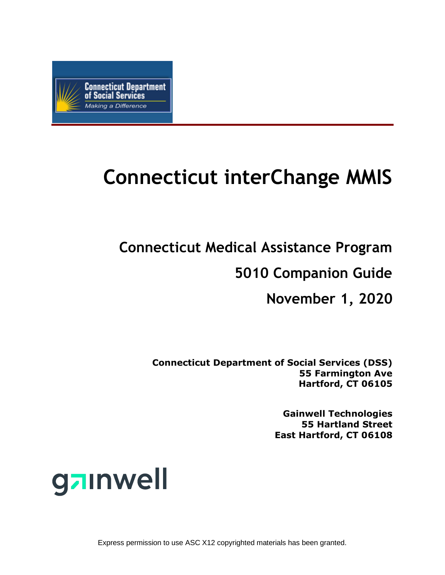

# **Connecticut interChange MMIS**

**Connecticut Medical Assistance Program**

**5010 Companion Guide**

**November 1, 2020**

**Connecticut Department of Social Services (DSS) 55 Farmington Ave Hartford, CT 06105**

> **Gainwell Technologies 55 Hartland Street East Hartford, CT 06108**



Express permission to use ASC X12 copyrighted materials has been granted.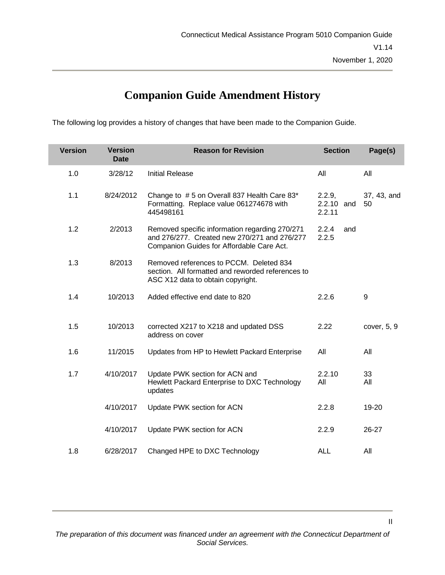### **Companion Guide Amendment History**

The following log provides a history of changes that have been made to the Companion Guide.

| <b>Version</b> | <b>Version</b><br><b>Date</b> | <b>Reason for Revision</b>                                                                                                                  | <b>Section</b>                 | Page(s)           |  |
|----------------|-------------------------------|---------------------------------------------------------------------------------------------------------------------------------------------|--------------------------------|-------------------|--|
| 1.0            | 3/28/12                       | <b>Initial Release</b>                                                                                                                      | All                            | All               |  |
| 1.1            | 8/24/2012                     | Change to #5 on Overall 837 Health Care 83*<br>Formatting. Replace value 061274678 with<br>445498161                                        | 2.2.9,<br>2.2.10 and<br>2.2.11 | 37, 43, and<br>50 |  |
| 1.2            | 2/2013                        | Removed specific information regarding 270/271<br>and 276/277. Created new 270/271 and 276/277<br>Companion Guides for Affordable Care Act. | 2.2.4<br>and<br>2.2.5          |                   |  |
| 1.3            | 8/2013                        | Removed references to PCCM. Deleted 834<br>section. All formatted and reworded references to<br>ASC X12 data to obtain copyright.           |                                |                   |  |
| 1.4            | 10/2013                       | Added effective end date to 820                                                                                                             | 2.2.6                          | 9                 |  |
| 1.5            | 10/2013                       | corrected X217 to X218 and updated DSS<br>address on cover                                                                                  | 2.22                           | cover, 5, 9       |  |
| 1.6            | 11/2015                       | Updates from HP to Hewlett Packard Enterprise                                                                                               | All                            | All               |  |
| 1.7            | 4/10/2017                     | Update PWK section for ACN and<br>Hewlett Packard Enterprise to DXC Technology<br>updates                                                   | 2.2.10<br>All                  | 33<br>All         |  |
|                | 4/10/2017                     | Update PWK section for ACN                                                                                                                  | 2.2.8                          | 19-20             |  |
|                | 4/10/2017                     | Update PWK section for ACN                                                                                                                  | 2.2.9                          | 26-27             |  |
| 1.8            | 6/28/2017                     | Changed HPE to DXC Technology                                                                                                               | ALL                            | All               |  |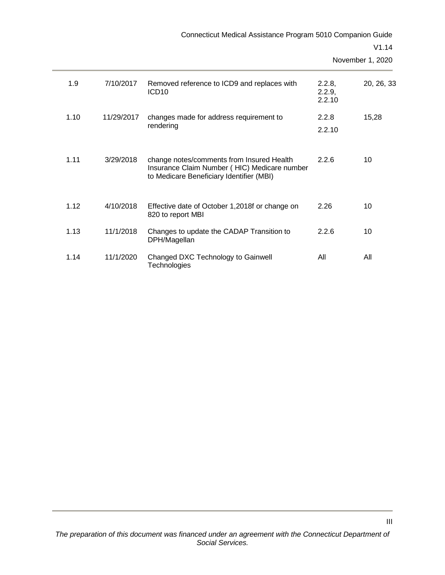| Connecticut Medical Assistance Program 5010 Companion Guide |           |                                                                                                                                       |                            |                           |
|-------------------------------------------------------------|-----------|---------------------------------------------------------------------------------------------------------------------------------------|----------------------------|---------------------------|
|                                                             |           |                                                                                                                                       |                            | V1.14<br>November 1, 2020 |
| 1.9                                                         | 7/10/2017 | Removed reference to ICD9 and replaces with<br>ICD <sub>10</sub>                                                                      | 2.2.8,<br>2.2.9,<br>2.2.10 | 20, 26, 33                |
| 1.10<br>11/29/2017                                          |           | changes made for address requirement to                                                                                               | 2.2.8                      | 15,28                     |
|                                                             |           | rendering                                                                                                                             | 2.2.10                     |                           |
| 1.11                                                        | 3/29/2018 | change notes/comments from Insured Health<br>Insurance Claim Number (HIC) Medicare number<br>to Medicare Beneficiary Identifier (MBI) | 2.2.6                      | 10                        |
| 1.12                                                        | 4/10/2018 | Effective date of October 1,2018f or change on<br>820 to report MBI                                                                   | 2.26                       | 10                        |
| 1.13                                                        | 11/1/2018 | Changes to update the CADAP Transition to<br>DPH/Magellan                                                                             | 2.2.6                      | 10                        |
| 1.14                                                        | 11/1/2020 | Changed DXC Technology to Gainwell<br>Technologies                                                                                    | All                        | All                       |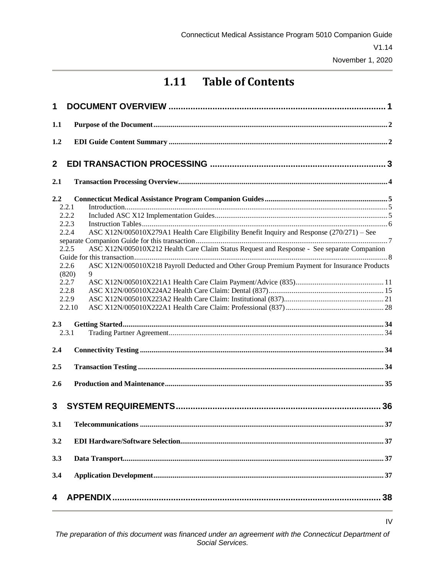### **1.11 Table of Contents**

| 1                                                                                                                                                                                                                                                                                                                                                                                                                       |    |
|-------------------------------------------------------------------------------------------------------------------------------------------------------------------------------------------------------------------------------------------------------------------------------------------------------------------------------------------------------------------------------------------------------------------------|----|
| 1.1                                                                                                                                                                                                                                                                                                                                                                                                                     |    |
| 1.2                                                                                                                                                                                                                                                                                                                                                                                                                     |    |
| $\mathbf{2}$                                                                                                                                                                                                                                                                                                                                                                                                            |    |
| 2.1                                                                                                                                                                                                                                                                                                                                                                                                                     |    |
| 2.2<br>2.2.1<br>2.2.2<br>2.2.3<br>ASC X12N/005010X279A1 Health Care Eligibility Benefit Inquiry and Response (270/271) - See<br>2.2.4<br>ASC X12N/005010X212 Health Care Claim Status Request and Response - See separate Companion<br>2.2.5<br>ASC X12N/005010X218 Payroll Deducted and Other Group Premium Payment for Insurance Products<br>2.2.6<br>9<br>(820)<br>2.2.7<br>2.2.8<br>2.2.9<br>2.2.10<br>2.3<br>2.3.1 |    |
| 2.4                                                                                                                                                                                                                                                                                                                                                                                                                     |    |
| 2.5                                                                                                                                                                                                                                                                                                                                                                                                                     |    |
| 2.6                                                                                                                                                                                                                                                                                                                                                                                                                     |    |
| 3                                                                                                                                                                                                                                                                                                                                                                                                                       |    |
|                                                                                                                                                                                                                                                                                                                                                                                                                         | 37 |
| 3.2                                                                                                                                                                                                                                                                                                                                                                                                                     |    |
| 3.3                                                                                                                                                                                                                                                                                                                                                                                                                     |    |
| 3.4                                                                                                                                                                                                                                                                                                                                                                                                                     |    |
| 4                                                                                                                                                                                                                                                                                                                                                                                                                       |    |

IV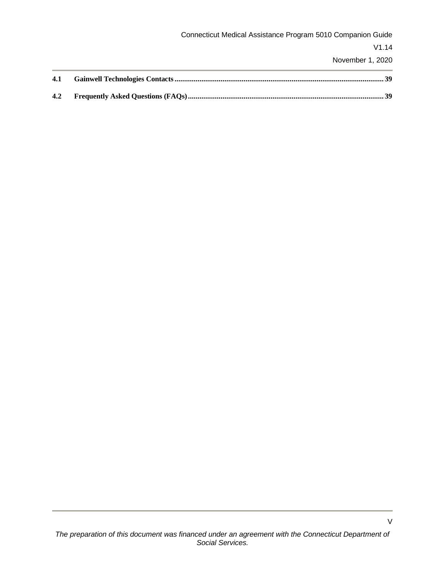|     | Connecticut Medical Assistance Program 5010 Companion Guide |
|-----|-------------------------------------------------------------|
|     | V1.14                                                       |
|     | November 1, 2020                                            |
| 4.1 |                                                             |
| 4.2 |                                                             |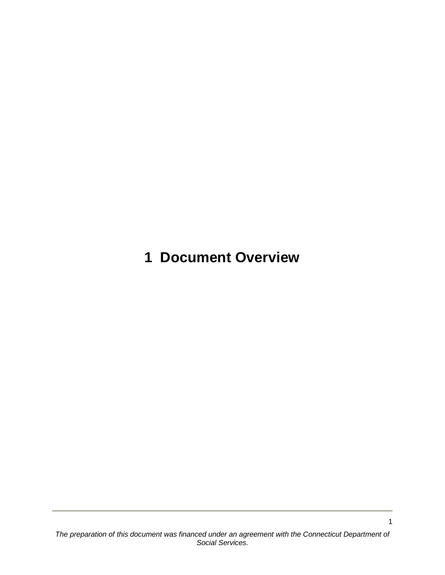<span id="page-5-0"></span>**1 Document Overview**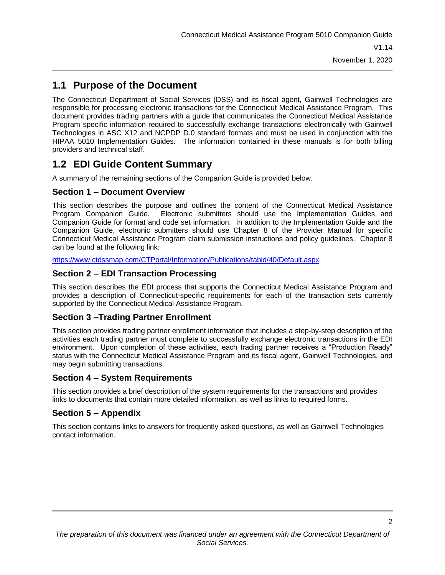### <span id="page-6-0"></span>**1.1 Purpose of the Document**

The Connecticut Department of Social Services (DSS) and its fiscal agent, Gainwell Technologies are responsible for processing electronic transactions for the Connecticut Medical Assistance Program. This document provides trading partners with a guide that communicates the Connecticut Medical Assistance Program specific information required to successfully exchange transactions electronically with Gainwell Technologies in ASC X12 and NCPDP D.0 standard formats and must be used in conjunction with the HIPAA 5010 Implementation Guides. The information contained in these manuals is for both billing providers and technical staff.

### <span id="page-6-1"></span>**1.2 EDI Guide Content Summary**

A summary of the remaining sections of the Companion Guide is provided below.

#### **Section 1 – Document Overview**

This section describes the purpose and outlines the content of the Connecticut Medical Assistance Program Companion Guide. Electronic submitters should use the Implementation Guides and Companion Guide for format and code set information. In addition to the Implementation Guide and the Companion Guide, electronic submitters should use Chapter 8 of the Provider Manual for specific Connecticut Medical Assistance Program claim submission instructions and policy guidelines. Chapter 8 can be found at the following link:

<https://www.ctdssmap.com/CTPortal/Information/Publications/tabid/40/Default.aspx>

#### **Section 2 – EDI Transaction Processing**

This section describes the EDI process that supports the Connecticut Medical Assistance Program and provides a description of Connecticut-specific requirements for each of the transaction sets currently supported by the Connecticut Medical Assistance Program.

#### **Section 3 –Trading Partner Enrollment**

This section provides trading partner enrollment information that includes a step-by-step description of the activities each trading partner must complete to successfully exchange electronic transactions in the EDI environment. Upon completion of these activities, each trading partner receives a "Production Ready" status with the Connecticut Medical Assistance Program and its fiscal agent, Gainwell Technologies, and may begin submitting transactions.

#### **Section 4 – System Requirements**

This section provides a brief description of the system requirements for the transactions and provides links to documents that contain more detailed information, as well as links to required forms.

#### **Section 5 – Appendix**

This section contains links to answers for frequently asked questions, as well as Gainwell Technologies contact information.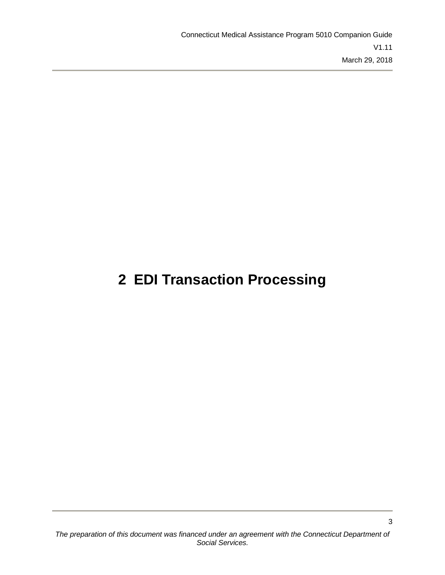## <span id="page-7-0"></span>**2 EDI Transaction Processing**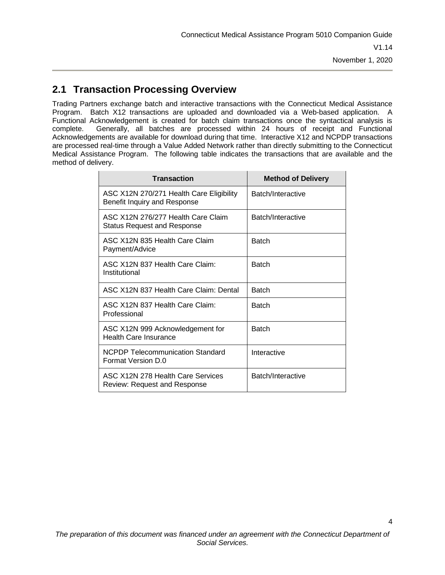### <span id="page-8-0"></span>**2.1 Transaction Processing Overview**

Trading Partners exchange batch and interactive transactions with the Connecticut Medical Assistance Program. Batch X12 transactions are uploaded and downloaded via a Web-based application. A Functional Acknowledgement is created for batch claim transactions once the syntactical analysis is complete. Generally, all batches are processed within 24 hours of receipt and Functional Acknowledgements are available for download during that time. Interactive X12 and NCPDP transactions are processed real-time through a Value Added Network rather than directly submitting to the Connecticut Medical Assistance Program. The following table indicates the transactions that are available and the method of delivery.

| <b>Transaction</b>                                                       | <b>Method of Delivery</b> |
|--------------------------------------------------------------------------|---------------------------|
| ASC X12N 270/271 Health Care Eligibility<br>Benefit Inquiry and Response | Batch/Interactive         |
| ASC X12N 276/277 Health Care Claim<br><b>Status Request and Response</b> | Batch/Interactive         |
| ASC X12N 835 Health Care Claim<br>Payment/Advice                         | <b>Batch</b>              |
| ASC X12N 837 Health Care Claim:<br>Institutional                         | <b>Batch</b>              |
| ASC X12N 837 Health Care Claim: Dental                                   | <b>Batch</b>              |
| ASC X12N 837 Health Care Claim:<br>Professional                          | <b>Batch</b>              |
| ASC X12N 999 Acknowledgement for<br><b>Health Care Insurance</b>         | <b>Batch</b>              |
| NCPDP Telecommunication Standard<br>Format Version D.0                   | Interactive               |
| ASC X12N 278 Health Care Services<br>Review: Request and Response        | Batch/Interactive         |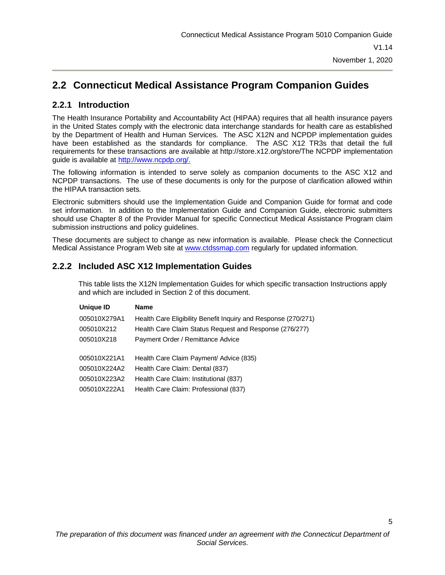### <span id="page-9-0"></span>**2.2 Connecticut Medical Assistance Program Companion Guides**

#### <span id="page-9-1"></span>**2.2.1 Introduction**

The Health Insurance Portability and Accountability Act (HIPAA) requires that all health insurance payers in the United States comply with the electronic data interchange standards for health care as established by the Department of Health and Human Services. The ASC X12N and NCPDP implementation guides have been established as the standards for compliance. The ASC X12 TR3s that detail the full requirements for these transactions are available at http://store.x12.org/store/The NCPDP implementation guide is available at [http://www.ncpdp.org/.](http://www.ncpdp.org/)

The following information is intended to serve solely as companion documents to the ASC X12 and NCPDP transactions. The use of these documents is only for the purpose of clarification allowed within the HIPAA transaction sets.

Electronic submitters should use the Implementation Guide and Companion Guide for format and code set information. In addition to the Implementation Guide and Companion Guide, electronic submitters should use Chapter 8 of the Provider Manual for specific Connecticut Medical Assistance Program claim submission instructions and policy guidelines.

These documents are subject to change as new information is available. Please check the Connecticut Medical Assistance Program Web site at [www.ctdssmap.com](http://www.ctdssmap.com/) regularly for updated information.

#### <span id="page-9-2"></span>**2.2.2 Included ASC X12 Implementation Guides**

This table lists the X12N Implementation Guides for which specific transaction Instructions apply and which are included in Section 2 of this document.

| <b>Unique ID</b> | <b>Name</b>                                                    |
|------------------|----------------------------------------------------------------|
| 005010X279A1     | Health Care Eligibility Benefit Inquiry and Response (270/271) |
| 005010X212       | Health Care Claim Status Request and Response (276/277)        |
| 005010X218       | Payment Order / Remittance Advice                              |
|                  |                                                                |
| 005010X221A1     | Health Care Claim Payment/ Advice (835)                        |
| 005010X224A2     | Health Care Claim: Dental (837)                                |
| 005010X223A2     | Health Care Claim: Institutional (837)                         |
| 005010X222A1     | Health Care Claim: Professional (837)                          |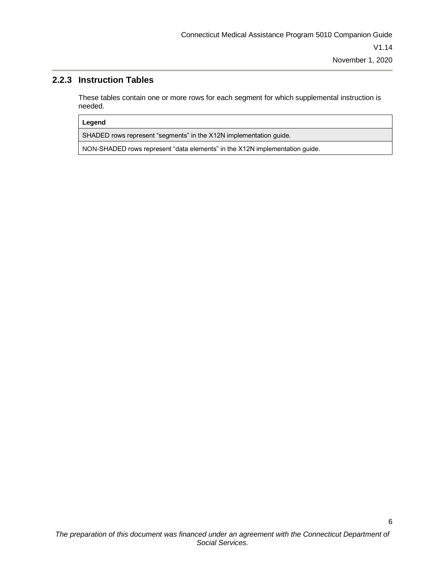#### <span id="page-10-0"></span>**2.2.3 Instruction Tables**

These tables contain one or more rows for each segment for which supplemental instruction is needed.

#### **Legend**

SHADED rows represent "segments" in the X12N implementation guide.

NON-SHADED rows represent "data elements" in the X12N implementation guide.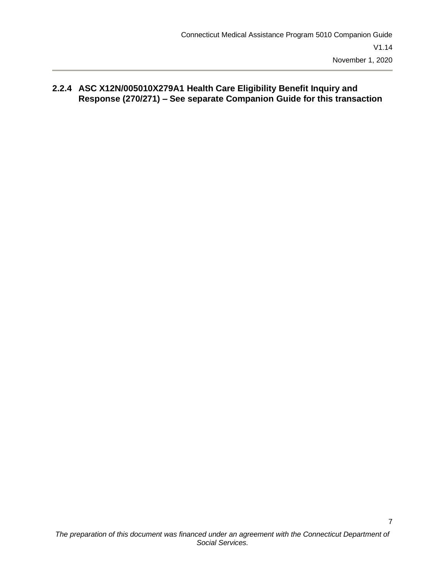#### <span id="page-11-0"></span>**2.2.4 ASC X12N/005010X279A1 Health Care Eligibility Benefit Inquiry and Response (270/271) – See separate Companion Guide for this transaction**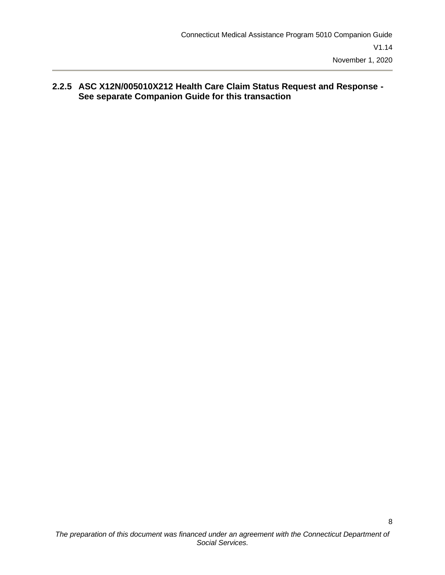#### <span id="page-12-0"></span>**2.2.5 ASC X12N/005010X212 Health Care Claim Status Request and Response - See separate Companion Guide for this transaction**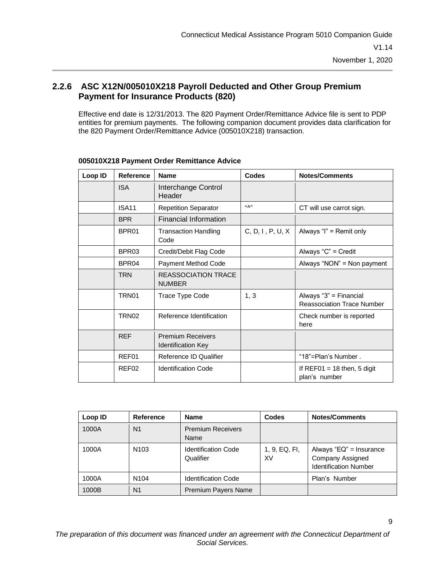#### <span id="page-13-0"></span>**2.2.6 ASC X12N/005010X218 Payroll Deducted and Other Group Premium Payment for Insurance Products (820)**

Effective end date is 12/31/2013. The 820 Payment Order/Remittance Advice file is sent to PDP entities for premium payments. The following companion document provides data clarification for the 820 Payment Order/Remittance Advice (005010X218) transaction.

| Loop ID | <b>Reference</b>  | <b>Name</b>                                           | Codes                    | <b>Notes/Comments</b>                                       |
|---------|-------------------|-------------------------------------------------------|--------------------------|-------------------------------------------------------------|
|         | <b>ISA</b>        | Interchange Control<br>Header                         |                          |                                                             |
|         | ISA <sub>11</sub> | <b>Repetition Separator</b>                           | $((\wedge$ <sup>33</sup> | CT will use carrot sign.                                    |
|         | <b>BPR</b>        | Financial Information                                 |                          |                                                             |
|         | BPR01             | <b>Transaction Handling</b><br>Code                   | C, D, I, P, U, X         | Always "I" = Remit only                                     |
|         | BPR <sub>03</sub> | Credit/Debit Flag Code                                |                          | Always "C" = Credit                                         |
|         | BPR <sub>04</sub> | Payment Method Code                                   |                          | Always "NON" = Non payment                                  |
|         | <b>TRN</b>        | REASSOCIATION TRACE<br><b>NUMBER</b>                  |                          |                                                             |
|         | TRN <sub>01</sub> | Trace Type Code                                       | 1, 3                     | Always "3" = Financial<br><b>Reassociation Trace Number</b> |
|         | TRN <sub>02</sub> | Reference Identification                              |                          | Check number is reported<br>here                            |
|         | <b>REF</b>        | <b>Premium Receivers</b><br><b>Identification Key</b> |                          |                                                             |
|         | REF01             | Reference ID Qualifier                                |                          | "18"=Plan's Number.                                         |
|         | REF02             | <b>Identification Code</b>                            |                          | If REF01 = 18 then, 5 digit<br>plan's number                |

#### **005010X218 Payment Order Remittance Advice**

| Loop ID | <b>Reference</b> | <b>Name</b>                             | <b>Codes</b>        | <b>Notes/Comments</b>                                                       |
|---------|------------------|-----------------------------------------|---------------------|-----------------------------------------------------------------------------|
| 1000A   | N1               | <b>Premium Receivers</b><br><b>Name</b> |                     |                                                                             |
| 1000A   | N <sub>103</sub> | <b>Identification Code</b><br>Qualifier | 1, 9, EQ, FI,<br>XV | Always "EQ" = Insurance<br>Company Assigned<br><b>Identification Number</b> |
| 1000A   | N <sub>104</sub> | <b>Identification Code</b>              |                     | Plan's Number                                                               |
| 1000B   | N <sub>1</sub>   | Premium Payers Name                     |                     |                                                                             |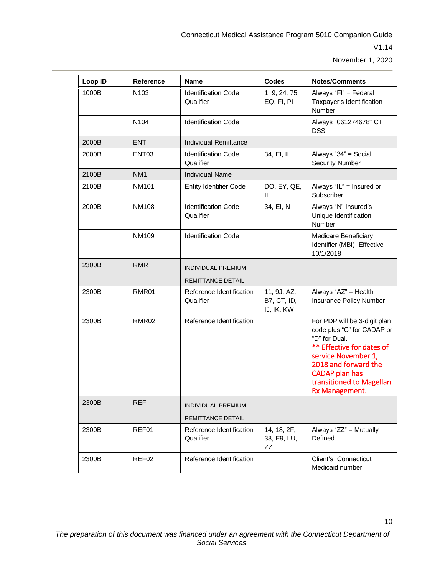10

| Loop ID | Reference         | <b>Name</b>                             | <b>Codes</b>                                    | <b>Notes/Comments</b>                                                                                                                                                                                                          |
|---------|-------------------|-----------------------------------------|-------------------------------------------------|--------------------------------------------------------------------------------------------------------------------------------------------------------------------------------------------------------------------------------|
| 1000B   | N <sub>103</sub>  | <b>Identification Code</b><br>Qualifier | 1, 9, 24, 75,<br>EQ, FI, PI                     | Always "Fl" = Federal<br>Taxpayer's Identification<br>Number                                                                                                                                                                   |
|         | N <sub>104</sub>  | <b>Identification Code</b>              |                                                 | Always "061274678" CT<br><b>DSS</b>                                                                                                                                                                                            |
| 2000B   | <b>ENT</b>        | <b>Individual Remittance</b>            |                                                 |                                                                                                                                                                                                                                |
| 2000B   | ENT <sub>03</sub> | <b>Identification Code</b><br>Qualifier | 34, EI, II                                      | Always "34" = Social<br><b>Security Number</b>                                                                                                                                                                                 |
| 2100B   | NM <sub>1</sub>   | <b>Individual Name</b>                  |                                                 |                                                                                                                                                                                                                                |
| 2100B   | <b>NM101</b>      | <b>Entity Identifier Code</b>           | DO, EY, QE,<br>IL                               | Always "IL" = Insured or<br>Subscriber                                                                                                                                                                                         |
| 2000B   | <b>NM108</b>      | <b>Identification Code</b><br>Qualifier | 34, EI, N                                       | Always "N" Insured's<br>Unique Identification<br>Number                                                                                                                                                                        |
|         | NM109             | <b>Identification Code</b>              |                                                 | Medicare Beneficiary<br>Identifier (MBI) Effective<br>10/1/2018                                                                                                                                                                |
| 2300B   | <b>RMR</b>        | <b>INDIVIDUAL PREMIUM</b>               |                                                 |                                                                                                                                                                                                                                |
|         |                   | REMITTANCE DETAIL                       |                                                 |                                                                                                                                                                                                                                |
| 2300B   | RMR01             | Reference Identification<br>Qualifier   | 11, 9J, AZ,<br><b>B7, CT, ID,</b><br>IJ, IK, KW | Always "AZ" = Health<br>Insurance Policy Number                                                                                                                                                                                |
| 2300B   | RMR <sub>02</sub> | Reference Identification                |                                                 | For PDP will be 3-digit plan<br>code plus "C" for CADAP or<br>"D" for Dual.<br>** Effective for dates of<br>service November 1,<br>2018 and forward the<br><b>CADAP</b> plan has<br>transitioned to Magellan<br>Rx Management. |
| 2300B   | <b>REF</b>        | INDIVIDUAL PREMIUM<br>REMITTANCE DETAIL |                                                 |                                                                                                                                                                                                                                |
| 2300B   | REF01             | Reference Identification<br>Qualifier   | 14, 18, 2F,<br>38, E9, LU,<br>ZZ                | Always "ZZ" = Mutually<br>Defined                                                                                                                                                                                              |
| 2300B   | REF02             | Reference Identification                |                                                 | Client's Connecticut<br>Medicaid number                                                                                                                                                                                        |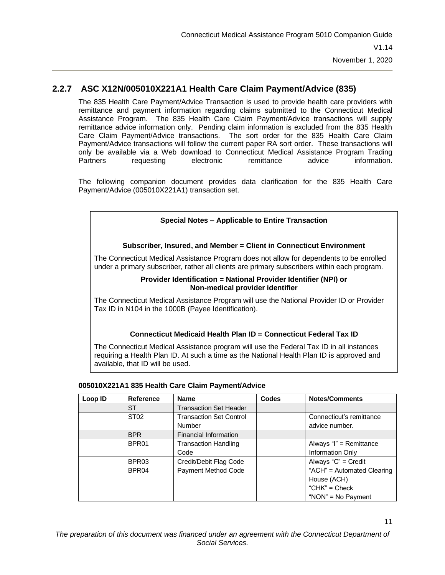#### **2.2.7 ASC X12N/005010X221A1 Health Care Claim Payment/Advice (835)**

<span id="page-15-0"></span>The 835 Health Care Payment/Advice Transaction is used to provide health care providers with remittance and payment information regarding claims submitted to the Connecticut Medical Assistance Program. The 835 Health Care Claim Payment/Advice transactions will supply remittance advice information only. Pending claim information is excluded from the 835 Health Care Claim Payment/Advice transactions. The sort order for the 835 Health Care Claim Payment/Advice transactions will follow the current paper RA sort order. These transactions will only be available via a Web download to Connecticut Medical Assistance Program Trading Partners requesting electronic remittance advice information.

The following companion document provides data clarification for the 835 Health Care Payment/Advice (005010X221A1) transaction set.

#### **Special Notes – Applicable to Entire Transaction**

#### **Subscriber, Insured, and Member = Client in Connecticut Environment**

The Connecticut Medical Assistance Program does not allow for dependents to be enrolled under a primary subscriber, rather all clients are primary subscribers within each program.

#### **Provider Identification = National Provider Identifier (NPI) or Non-medical provider identifier**

The Connecticut Medical Assistance Program will use the National Provider ID or Provider Tax ID in N104 in the 1000B (Payee Identification).

#### **Connecticut Medicaid Health Plan ID = Connecticut Federal Tax ID**

The Connecticut Medical Assistance program will use the Federal Tax ID in all instances requiring a Health Plan ID. At such a time as the National Health Plan ID is approved and available, that ID will be used.

| Loop ID | Reference         | <b>Name</b>                    | <b>Codes</b> | <b>Notes/Comments</b>      |
|---------|-------------------|--------------------------------|--------------|----------------------------|
|         | <b>ST</b>         | <b>Transaction Set Header</b>  |              |                            |
|         | ST <sub>02</sub>  | <b>Transaction Set Control</b> |              | Connecticut's remittance   |
|         |                   | <b>Number</b>                  |              | advice number.             |
|         | <b>BPR</b>        | Financial Information          |              |                            |
|         | BPR <sub>01</sub> | <b>Transaction Handling</b>    |              | Always "I" = Remittance    |
|         |                   | Code                           |              | Information Only           |
|         | BPR03             | Credit/Debit Flag Code         |              | Always "C" = Credit        |
|         | BPR <sub>04</sub> | Payment Method Code            |              | "ACH" = Automated Clearing |
|         |                   |                                |              | House (ACH)                |
|         |                   |                                |              | "CHK" = $Check$            |
|         |                   |                                |              | "NON" = $No$ Payment       |

#### **005010X221A1 835 Health Care Claim Payment/Advice**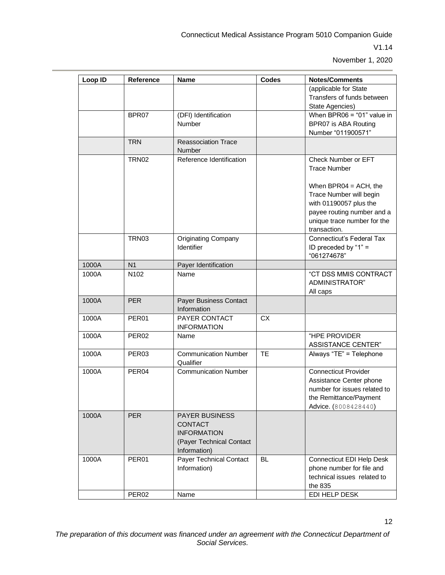| Reference         | <b>Name</b>                                                                                               | Codes     | <b>Notes/Comments</b>                                                                                                                                      |
|-------------------|-----------------------------------------------------------------------------------------------------------|-----------|------------------------------------------------------------------------------------------------------------------------------------------------------------|
|                   |                                                                                                           |           | (applicable for State<br>Transfers of funds between<br>State Agencies)                                                                                     |
| BPR07             | (DFI) Identification<br>Number                                                                            |           | When $BPR06 = "01"$ value in<br>BPR07 is ABA Routing<br>Number "011900571"                                                                                 |
| <b>TRN</b>        | <b>Reassociation Trace</b><br>Number                                                                      |           |                                                                                                                                                            |
| <b>TRN02</b>      | Reference Identification                                                                                  |           | Check Number or EFT<br><b>Trace Number</b>                                                                                                                 |
|                   |                                                                                                           |           | When $BPR04 = ACH$ , the<br>Trace Number will begin<br>with 01190057 plus the<br>payee routing number and a<br>unique trace number for the<br>transaction. |
| <b>TRN03</b>      | <b>Originating Company</b><br>Identifier                                                                  |           | <b>Connecticut's Federal Tax</b><br>ID preceded by "1" =<br>"061274678"                                                                                    |
| N <sub>1</sub>    | Payer Identification                                                                                      |           |                                                                                                                                                            |
| N102              | Name                                                                                                      |           | "CT DSS MMIS CONTRACT<br>ADMINISTRATOR"<br>All caps                                                                                                        |
| <b>PER</b>        | Payer Business Contact<br>Information                                                                     |           |                                                                                                                                                            |
| PER <sub>01</sub> | <b>PAYER CONTACT</b><br><b>INFORMATION</b>                                                                | <b>CX</b> |                                                                                                                                                            |
| PER <sub>02</sub> | Name                                                                                                      |           | "HPE PROVIDER<br><b>ASSISTANCE CENTER"</b>                                                                                                                 |
| PER <sub>03</sub> | <b>Communication Number</b><br>Qualifier                                                                  | <b>TE</b> | Always "TE" = Telephone                                                                                                                                    |
| PER <sub>04</sub> | <b>Communication Number</b>                                                                               |           | <b>Connecticut Provider</b><br>Assistance Center phone<br>number for issues related to<br>the Remittance/Payment<br>Advice. (8008428440)                   |
| <b>PER</b>        | <b>PAYER BUSINESS</b><br><b>CONTACT</b><br><b>INFORMATION</b><br>(Payer Technical Contact<br>Information) |           |                                                                                                                                                            |
| PER01             | Payer Technical Contact<br>Information)                                                                   | <b>BL</b> | <b>Connecticut EDI Help Desk</b><br>phone number for file and<br>technical issues related to<br>the 835                                                    |
| PER <sub>02</sub> | Name                                                                                                      |           | EDI HELP DESK                                                                                                                                              |
|                   |                                                                                                           |           |                                                                                                                                                            |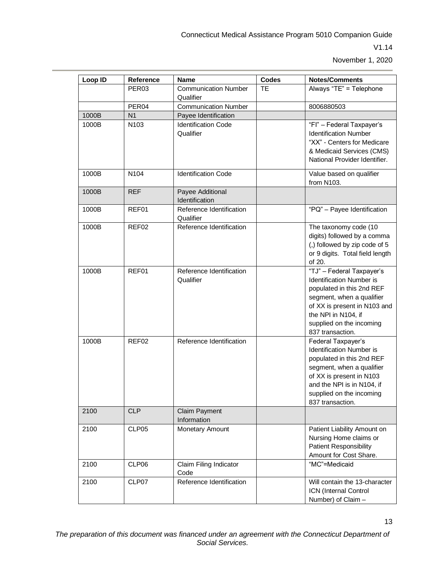| Loop ID | Reference         | <b>Name</b>                              | <b>Codes</b> | <b>Notes/Comments</b>                                                                                                                                                                                                         |
|---------|-------------------|------------------------------------------|--------------|-------------------------------------------------------------------------------------------------------------------------------------------------------------------------------------------------------------------------------|
|         | PER <sub>03</sub> | <b>Communication Number</b><br>Qualifier | <b>TE</b>    | Always "TE" = Telephone                                                                                                                                                                                                       |
|         | PER <sub>04</sub> | <b>Communication Number</b>              |              | 8006880503                                                                                                                                                                                                                    |
| 1000B   | N <sub>1</sub>    | Payee Identification                     |              |                                                                                                                                                                                                                               |
| 1000B   | N <sub>103</sub>  | <b>Identification Code</b><br>Qualifier  |              | "Fl" - Federal Taxpayer's<br><b>Identification Number</b><br>"XX" - Centers for Medicare<br>& Medicaid Services (CMS)<br>National Provider Identifier.                                                                        |
| 1000B   | N <sub>104</sub>  | <b>Identification Code</b>               |              | Value based on qualifier<br>from N103.                                                                                                                                                                                        |
| 1000B   | <b>REF</b>        | Payee Additional<br>Identification       |              |                                                                                                                                                                                                                               |
| 1000B   | REF01             | Reference Identification<br>Qualifier    |              | "PQ" - Payee Identification                                                                                                                                                                                                   |
| 1000B   | REF <sub>02</sub> | Reference Identification                 |              | The taxonomy code (10<br>digits) followed by a comma<br>(,) followed by zip code of 5<br>or 9 digits. Total field length<br>of 20.                                                                                            |
| 1000B   | REF01             | Reference Identification<br>Qualifier    |              | "TJ" - Federal Taxpayer's<br><b>Identification Number is</b><br>populated in this 2nd REF<br>segment, when a qualifier<br>of XX is present in N103 and<br>the NPI in N104, if<br>supplied on the incoming<br>837 transaction. |
| 1000B   | REF <sub>02</sub> | Reference Identification                 |              | Federal Taxpayer's<br><b>Identification Number is</b><br>populated in this 2nd REF<br>segment, when a qualifier<br>of XX is present in N103<br>and the NPI is in N104, if<br>supplied on the incoming<br>837 transaction.     |
| 2100    | <b>CLP</b>        | <b>Claim Payment</b><br>Information      |              |                                                                                                                                                                                                                               |
| 2100    | CLP05             | Monetary Amount                          |              | Patient Liability Amount on<br>Nursing Home claims or<br><b>Patient Responsibility</b><br>Amount for Cost Share.                                                                                                              |
| 2100    | CLP06             | Claim Filing Indicator<br>Code           |              | "MC"=Medicaid                                                                                                                                                                                                                 |
| 2100    | CLP07             | Reference Identification                 |              | Will contain the 13-character<br>ICN (Internal Control<br>Number) of Claim -                                                                                                                                                  |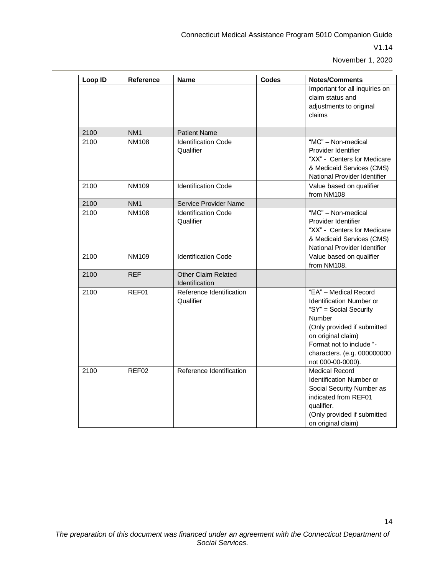| Loop ID | <b>Reference</b> | <b>Name</b>                                  | <b>Codes</b> | <b>Notes/Comments</b>                                                                                                                                                                                                      |
|---------|------------------|----------------------------------------------|--------------|----------------------------------------------------------------------------------------------------------------------------------------------------------------------------------------------------------------------------|
|         |                  |                                              |              | Important for all inquiries on<br>claim status and<br>adjustments to original<br>claims                                                                                                                                    |
| 2100    | NM <sub>1</sub>  | <b>Patient Name</b>                          |              |                                                                                                                                                                                                                            |
| 2100    | <b>NM108</b>     | <b>Identification Code</b><br>Qualifier      |              | "MC" - Non-medical<br>Provider Identifier<br>"XX" - Centers for Medicare<br>& Medicaid Services (CMS)<br>National Provider Identifier                                                                                      |
| 2100    | NM109            | <b>Identification Code</b>                   |              | Value based on qualifier<br>from NM108                                                                                                                                                                                     |
| 2100    | NM <sub>1</sub>  | Service Provider Name                        |              |                                                                                                                                                                                                                            |
| 2100    | <b>NM108</b>     | <b>Identification Code</b><br>Qualifier      |              | "MC" - Non-medical<br>Provider Identifier<br>"XX" - Centers for Medicare<br>& Medicaid Services (CMS)<br>National Provider Identifier                                                                                      |
| 2100    | NM109            | <b>Identification Code</b>                   |              | Value based on qualifier<br>from NM108.                                                                                                                                                                                    |
| 2100    | <b>REF</b>       | <b>Other Claim Related</b><br>Identification |              |                                                                                                                                                                                                                            |
| 2100    | REF01            | Reference Identification<br>Qualifier        |              | "EA" - Medical Record<br>Identification Number or<br>"SY" = Social Security<br>Number<br>(Only provided if submitted<br>on original claim)<br>Format not to include "-<br>characters. (e.g. 000000000<br>not 000-00-0000). |
| 2100    | REF02            | Reference Identification                     |              | <b>Medical Record</b><br>Identification Number or<br>Social Security Number as<br>indicated from REF01<br>qualifier.<br>(Only provided if submitted<br>on original claim)                                                  |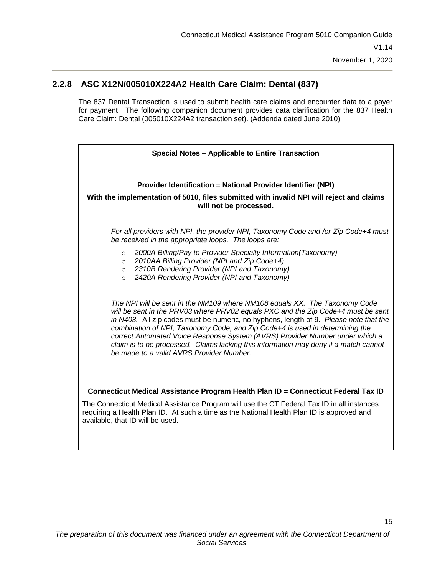#### **2.2.8 ASC X12N/005010X224A2 Health Care Claim: Dental (837)**

<span id="page-19-0"></span>The 837 Dental Transaction is used to submit health care claims and encounter data to a payer for payment. The following companion document provides data clarification for the 837 Health Care Claim: Dental (005010X224A2 transaction set). (Addenda dated June 2010)

| Special Notes - Applicable to Entire Transaction                                                                                                                                                                                                                                                                                                                                                                                                                                                                                                            |  |  |  |  |
|-------------------------------------------------------------------------------------------------------------------------------------------------------------------------------------------------------------------------------------------------------------------------------------------------------------------------------------------------------------------------------------------------------------------------------------------------------------------------------------------------------------------------------------------------------------|--|--|--|--|
|                                                                                                                                                                                                                                                                                                                                                                                                                                                                                                                                                             |  |  |  |  |
| <b>Provider Identification = National Provider Identifier (NPI)</b>                                                                                                                                                                                                                                                                                                                                                                                                                                                                                         |  |  |  |  |
| With the implementation of 5010, files submitted with invalid NPI will reject and claims<br>will not be processed.                                                                                                                                                                                                                                                                                                                                                                                                                                          |  |  |  |  |
| For all providers with NPI, the provider NPI, Taxonomy Code and /or Zip Code+4 must<br>be received in the appropriate loops. The loops are:                                                                                                                                                                                                                                                                                                                                                                                                                 |  |  |  |  |
| 2000A Billing/Pay to Provider Specialty Information(Taxonomy)<br>$\circ$<br>2010AA Billing Provider (NPI and Zip Code+4)<br>$\circ$<br>2310B Rendering Provider (NPI and Taxonomy)<br>$\circ$<br>2420A Rendering Provider (NPI and Taxonomy)<br>$\Omega$                                                                                                                                                                                                                                                                                                    |  |  |  |  |
| The NPI will be sent in the NM109 where NM108 equals XX. The Taxonomy Code<br>will be sent in the PRV03 where PRV02 equals PXC and the Zip Code+4 must be sent<br>in N403. All zip codes must be numeric, no hyphens, length of 9. Please note that the<br>combination of NPI, Taxonomy Code, and Zip Code+4 is used in determining the<br>correct Automated Voice Response System (AVRS) Provider Number under which a<br>claim is to be processed. Claims lacking this information may deny if a match cannot<br>be made to a valid AVRS Provider Number. |  |  |  |  |
| Connecticut Medical Assistance Program Health Plan ID = Connecticut Federal Tax ID                                                                                                                                                                                                                                                                                                                                                                                                                                                                          |  |  |  |  |
| The Connecticut Medical Assistance Program will use the CT Federal Tax ID in all instances<br>requiring a Health Plan ID. At such a time as the National Health Plan ID is approved and<br>available, that ID will be used.                                                                                                                                                                                                                                                                                                                                 |  |  |  |  |
|                                                                                                                                                                                                                                                                                                                                                                                                                                                                                                                                                             |  |  |  |  |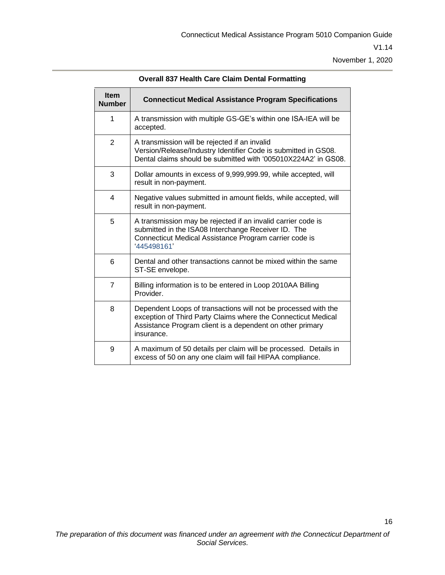| <b>Item</b><br><b>Number</b> | <b>Connecticut Medical Assistance Program Specifications</b>                                                                                                                                               |
|------------------------------|------------------------------------------------------------------------------------------------------------------------------------------------------------------------------------------------------------|
| 1                            | A transmission with multiple GS-GE's within one ISA-IEA will be<br>accepted.                                                                                                                               |
| $\overline{2}$               | A transmission will be rejected if an invalid<br>Version/Release/Industry Identifier Code is submitted in GS08.<br>Dental claims should be submitted with '005010X224A2' in GS08.                          |
| 3                            | Dollar amounts in excess of 9,999,999.99, while accepted, will<br>result in non-payment.                                                                                                                   |
| $\overline{4}$               | Negative values submitted in amount fields, while accepted, will<br>result in non-payment.                                                                                                                 |
| 5                            | A transmission may be rejected if an invalid carrier code is<br>submitted in the ISA08 Interchange Receiver ID. The<br>Connecticut Medical Assistance Program carrier code is<br>'445498161'               |
| 6                            | Dental and other transactions cannot be mixed within the same<br>ST-SE envelope.                                                                                                                           |
| $\overline{7}$               | Billing information is to be entered in Loop 2010AA Billing<br>Provider.                                                                                                                                   |
| 8                            | Dependent Loops of transactions will not be processed with the<br>exception of Third Party Claims where the Connecticut Medical<br>Assistance Program client is a dependent on other primary<br>insurance. |
| 9                            | A maximum of 50 details per claim will be processed. Details in<br>excess of 50 on any one claim will fail HIPAA compliance.                                                                               |

**Overall 837 Health Care Claim Dental Formatting**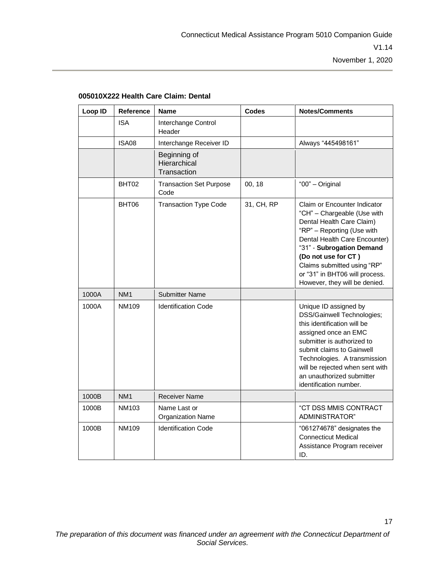| Loop ID | Reference       | <b>Name</b>                                 | <b>Codes</b> | <b>Notes/Comments</b>                                                                                                                                                                                                                                                                                         |
|---------|-----------------|---------------------------------------------|--------------|---------------------------------------------------------------------------------------------------------------------------------------------------------------------------------------------------------------------------------------------------------------------------------------------------------------|
|         | <b>ISA</b>      | Interchange Control<br>Header               |              |                                                                                                                                                                                                                                                                                                               |
|         | <b>ISA08</b>    | Interchange Receiver ID                     |              | Always "445498161"                                                                                                                                                                                                                                                                                            |
|         |                 | Beginning of<br>Hierarchical<br>Transaction |              |                                                                                                                                                                                                                                                                                                               |
|         | BHT02           | <b>Transaction Set Purpose</b><br>Code      | 00, 18       | "00" - Original                                                                                                                                                                                                                                                                                               |
|         | BHT06           | <b>Transaction Type Code</b>                | 31, CH, RP   | Claim or Encounter Indicator<br>"CH" - Chargeable (Use with<br>Dental Health Care Claim)<br>"RP" - Reporting (Use with<br>Dental Health Care Encounter)<br>"31" - Subrogation Demand<br>(Do not use for CT)<br>Claims submitted using "RP"<br>or "31" in BHT06 will process.<br>However, they will be denied. |
| 1000A   | NM <sub>1</sub> | <b>Submitter Name</b>                       |              |                                                                                                                                                                                                                                                                                                               |
| 1000A   | <b>NM109</b>    | <b>Identification Code</b>                  |              | Unique ID assigned by<br><b>DSS/Gainwell Technologies;</b><br>this identification will be<br>assigned once an EMC<br>submitter is authorized to<br>submit claims to Gainwell<br>Technologies. A transmission<br>will be rejected when sent with<br>an unauthorized submitter<br>identification number.        |
| 1000B   | NM <sub>1</sub> | <b>Receiver Name</b>                        |              |                                                                                                                                                                                                                                                                                                               |
| 1000B   | NM103           | Name Last or<br><b>Organization Name</b>    |              | "CT DSS MMIS CONTRACT<br>ADMINISTRATOR"                                                                                                                                                                                                                                                                       |
| 1000B   | NM109           | <b>Identification Code</b>                  |              | "061274678" designates the<br><b>Connecticut Medical</b><br>Assistance Program receiver<br>ID.                                                                                                                                                                                                                |

#### **005010X222 Health Care Claim: Dental**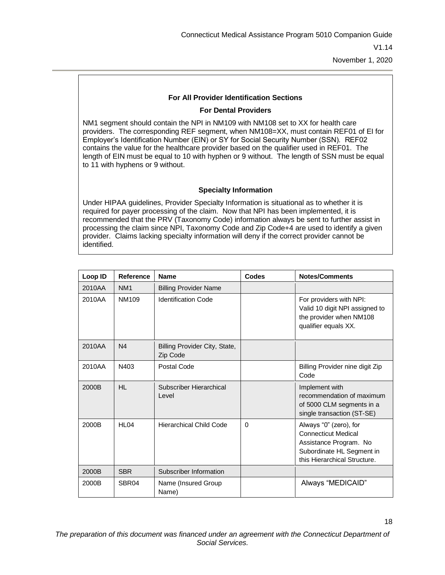18

#### **For All Provider Identification Sections**

#### **For Dental Providers**

NM1 segment should contain the NPI in NM109 with NM108 set to XX for health care providers. The corresponding REF segment, when NM108=XX, must contain REF01 of EI for Employer's Identification Number (EIN) or SY for Social Security Number (SSN). REF02 contains the value for the healthcare provider based on the qualifier used in REF01. The length of EIN must be equal to 10 with hyphen or 9 without. The length of SSN must be equal to 11 with hyphens or 9 without.

#### **Specialty Information**

Under HIPAA guidelines, Provider Specialty Information is situational as to whether it is required for payer processing of the claim. Now that NPI has been implemented, it is recommended that the PRV (Taxonomy Code) information always be sent to further assist in processing the claim since NPI, Taxonomy Code and Zip Code+4 are used to identify a given provider. Claims lacking specialty information will deny if the correct provider cannot be identified.

| Loop ID | <b>Reference</b>  | <b>Name</b>                               | Codes    | <b>Notes/Comments</b>                                                                                                                       |
|---------|-------------------|-------------------------------------------|----------|---------------------------------------------------------------------------------------------------------------------------------------------|
| 2010AA  | NM <sub>1</sub>   | <b>Billing Provider Name</b>              |          |                                                                                                                                             |
| 2010AA  | NM109             | <b>Identification Code</b>                |          | For providers with NPI:<br>Valid 10 digit NPI assigned to<br>the provider when NM108<br>qualifier equals XX.                                |
| 2010AA  | N <sub>4</sub>    | Billing Provider City, State,<br>Zip Code |          |                                                                                                                                             |
| 2010AA  | N403              | Postal Code                               |          | Billing Provider nine digit Zip<br>Code                                                                                                     |
| 2000B   | HL.               | Subscriber Hierarchical<br>Level          |          | Implement with<br>recommendation of maximum<br>of 5000 CLM segments in a<br>single transaction (ST-SE)                                      |
| 2000B   | HL <sub>04</sub>  | Hierarchical Child Code                   | $\Omega$ | Always "0" (zero), for<br><b>Connecticut Medical</b><br>Assistance Program. No<br>Subordinate HL Segment in<br>this Hierarchical Structure. |
| 2000B   | <b>SBR</b>        | Subscriber Information                    |          |                                                                                                                                             |
| 2000B   | SBR <sub>04</sub> | Name (Insured Group<br>Name)              |          | Always "MEDICAID"                                                                                                                           |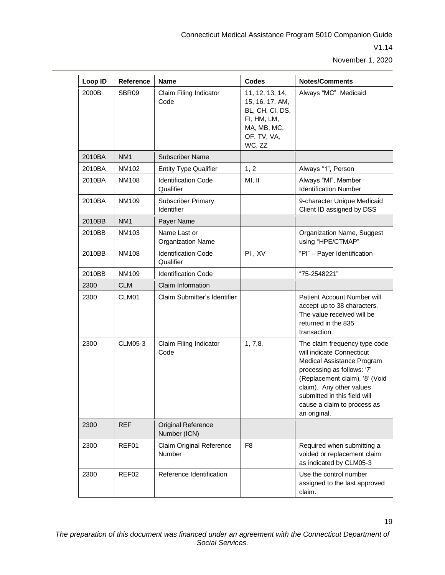| Loop ID | Reference       | <b>Name</b>                               | <b>Codes</b>                                                                                                 | <b>Notes/Comments</b>                                                                                                                                                                                                                                               |
|---------|-----------------|-------------------------------------------|--------------------------------------------------------------------------------------------------------------|---------------------------------------------------------------------------------------------------------------------------------------------------------------------------------------------------------------------------------------------------------------------|
| 2000B   | SBR09           | Claim Filing Indicator<br>Code            | 11, 12, 13, 14,<br>15, 16, 17, AM,<br>BL, CH, CI, DS,<br>FI, HM, LM,<br>MA, MB, MC,<br>OF, TV, VA,<br>WC, ZZ | Always "MC" Medicaid                                                                                                                                                                                                                                                |
| 2010BA  | NM <sub>1</sub> | <b>Subscriber Name</b>                    |                                                                                                              |                                                                                                                                                                                                                                                                     |
| 2010BA  | NM102           | <b>Entity Type Qualifier</b>              | 1, 2                                                                                                         | Always "1", Person                                                                                                                                                                                                                                                  |
| 2010BA  | NM108           | <b>Identification Code</b><br>Qualifier   | MI, II                                                                                                       | Always "MI", Member<br><b>Identification Number</b>                                                                                                                                                                                                                 |
| 2010BA  | <b>NM109</b>    | <b>Subscriber Primary</b><br>Identifier   |                                                                                                              | 9-character Unique Medicaid<br>Client ID assigned by DSS                                                                                                                                                                                                            |
| 2010BB  | NM <sub>1</sub> | Payer Name                                |                                                                                                              |                                                                                                                                                                                                                                                                     |
| 2010BB  | NM103           | Name Last or<br><b>Organization Name</b>  |                                                                                                              | Organization Name, Suggest<br>using "HPE/CTMAP"                                                                                                                                                                                                                     |
| 2010BB  | <b>NM108</b>    | <b>Identification Code</b><br>Qualifier   | PI, XV                                                                                                       | "Pl" - Payer Identification                                                                                                                                                                                                                                         |
| 2010BB  | NM109           | <b>Identification Code</b>                |                                                                                                              | "75-2548221"                                                                                                                                                                                                                                                        |
| 2300    | <b>CLM</b>      | Claim Information                         |                                                                                                              |                                                                                                                                                                                                                                                                     |
| 2300    | CLM01           | Claim Submitter's Identifier              |                                                                                                              | Patient Account Number will<br>accept up to 38 characters.<br>The value received will be<br>returned in the 835<br>transaction.                                                                                                                                     |
| 2300    | <b>CLM05-3</b>  | Claim Filing Indicator<br>Code            | 1, 7, 8,                                                                                                     | The claim frequency type code<br>will indicate Connecticut<br>Medical Assistance Program<br>processing as follows: '7'<br>(Replacement claim), '8' (Void<br>claim). Any other values<br>submitted in this field will<br>cause a claim to process as<br>an original. |
| 2300    | <b>REF</b>      | <b>Original Reference</b><br>Number (ICN) |                                                                                                              |                                                                                                                                                                                                                                                                     |
| 2300    | REF01           | Claim Original Reference<br>Number        | F <sub>8</sub>                                                                                               | Required when submitting a<br>voided or replacement claim<br>as indicated by CLM05-3                                                                                                                                                                                |
| 2300    | REF02           | Reference Identification                  |                                                                                                              | Use the control number<br>assigned to the last approved<br>claim.                                                                                                                                                                                                   |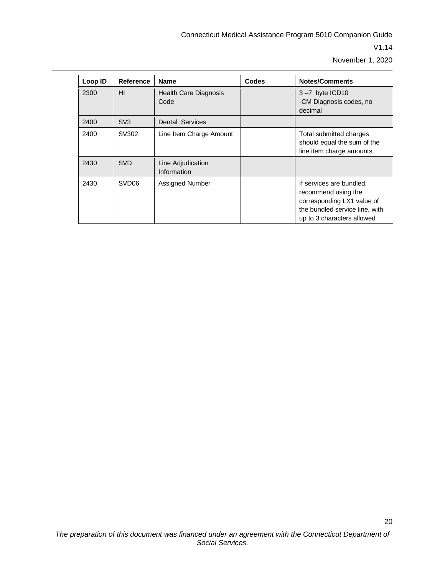| Loop ID | <b>Reference</b>  | <b>Name</b>                          | <b>Codes</b> | <b>Notes/Comments</b>                                                                                                                         |
|---------|-------------------|--------------------------------------|--------------|-----------------------------------------------------------------------------------------------------------------------------------------------|
| 2300    | HI                | <b>Health Care Diagnosis</b><br>Code |              | $3 - 7$ byte ICD10<br>-CM Diagnosis codes, no<br>decimal                                                                                      |
| 2400    | SV <sub>3</sub>   | <b>Dental Services</b>               |              |                                                                                                                                               |
| 2400    | SV302             | Line Item Charge Amount              |              | Total submitted charges<br>should equal the sum of the<br>line item charge amounts.                                                           |
| 2430    | <b>SVD</b>        | Line Adjudication<br>Information     |              |                                                                                                                                               |
| 2430    | SVD <sub>06</sub> | Assigned Number                      |              | If services are bundled,<br>recommend using the<br>corresponding LX1 value of<br>the bundled service line, with<br>up to 3 characters allowed |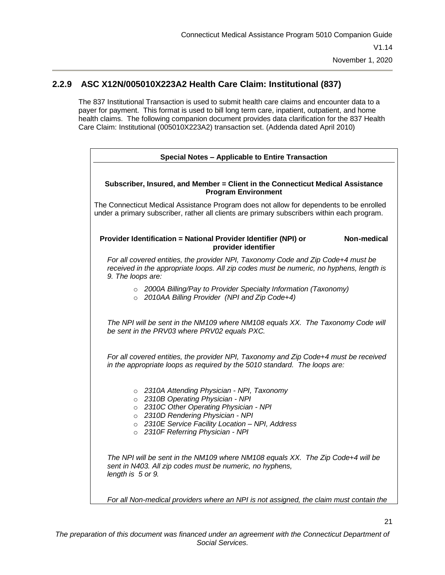#### **2.2.9 ASC X12N/005010X223A2 Health Care Claim: Institutional (837)**

<span id="page-25-0"></span>The 837 Institutional Transaction is used to submit health care claims and encounter data to a payer for payment. This format is used to bill long term care, inpatient, outpatient, and home health claims. The following companion document provides data clarification for the 837 Health Care Claim: Institutional (005010X223A2) transaction set. (Addenda dated April 2010)

| Special Notes - Applicable to Entire Transaction                                                                                                                                                                                                          |  |  |  |  |
|-----------------------------------------------------------------------------------------------------------------------------------------------------------------------------------------------------------------------------------------------------------|--|--|--|--|
| Subscriber, Insured, and Member = Client in the Connecticut Medical Assistance                                                                                                                                                                            |  |  |  |  |
| <b>Program Environment</b>                                                                                                                                                                                                                                |  |  |  |  |
| The Connecticut Medical Assistance Program does not allow for dependents to be enrolled<br>under a primary subscriber, rather all clients are primary subscribers within each program.                                                                    |  |  |  |  |
| Provider Identification = National Provider Identifier (NPI) or<br>Non-medical<br>provider identifier                                                                                                                                                     |  |  |  |  |
| For all covered entities, the provider NPI, Taxonomy Code and Zip Code+4 must be<br>received in the appropriate loops. All zip codes must be numeric, no hyphens, length is<br>9. The loops are:                                                          |  |  |  |  |
| o 2000A Billing/Pay to Provider Specialty Information (Taxonomy)<br>o 2010AA Billing Provider (NPI and Zip Code+4)                                                                                                                                        |  |  |  |  |
| The NPI will be sent in the NM109 where NM108 equals XX. The Taxonomy Code will<br>be sent in the PRV03 where PRV02 equals PXC.                                                                                                                           |  |  |  |  |
| For all covered entities, the provider NPI, Taxonomy and Zip Code+4 must be received<br>in the appropriate loops as required by the 5010 standard. The loops are:                                                                                         |  |  |  |  |
| o 2310A Attending Physician - NPI, Taxonomy<br>o 2310B Operating Physician - NPI<br>o 2310C Other Operating Physician - NPI<br>o 2310D Rendering Physician - NPI<br>o 2310E Service Facility Location - NPI, Address<br>o 2310F Referring Physician - NPI |  |  |  |  |
| The NPI will be sent in the NM109 where NM108 equals XX. The Zip Code+4 will be<br>sent in N403. All zip codes must be numeric, no hyphens,<br>length is 5 or 9.                                                                                          |  |  |  |  |
| For all Non-medical providers where an NPI is not assigned, the claim must contain the                                                                                                                                                                    |  |  |  |  |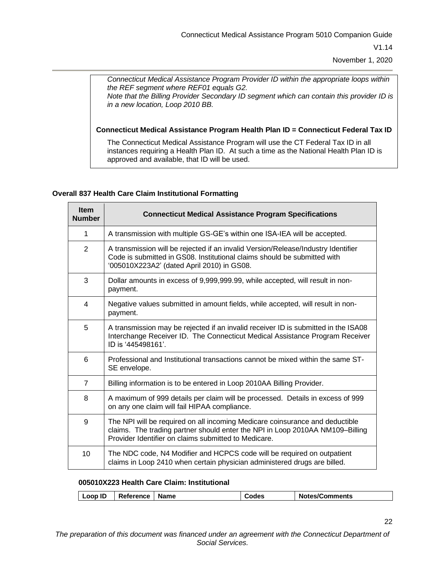*Connecticut Medical Assistance Program Provider ID within the appropriate loops within the REF segment where REF01 equals G2.* 

*Note that the Billing Provider Secondary ID segment which can contain this provider ID is in a new location, Loop 2010 BB.*

**Connecticut Medical Assistance Program Health Plan ID = Connecticut Federal Tax ID**

The Connecticut Medical Assistance Program will use the CT Federal Tax ID in all instances requiring a Health Plan ID. At such a time as the National Health Plan ID is approved and available, that ID will be used.

#### **Overall 837 Health Care Claim Institutional Formatting**

| <b>Item</b><br><b>Number</b> | <b>Connecticut Medical Assistance Program Specifications</b>                                                                                                                                                          |
|------------------------------|-----------------------------------------------------------------------------------------------------------------------------------------------------------------------------------------------------------------------|
| $\mathbf 1$                  | A transmission with multiple GS-GE's within one ISA-IEA will be accepted.                                                                                                                                             |
| $\overline{2}$               | A transmission will be rejected if an invalid Version/Release/Industry Identifier<br>Code is submitted in GS08. Institutional claims should be submitted with<br>'005010X223A2' (dated April 2010) in GS08.           |
| 3                            | Dollar amounts in excess of 9,999,999.99, while accepted, will result in non-<br>payment.                                                                                                                             |
| 4                            | Negative values submitted in amount fields, while accepted, will result in non-<br>payment.                                                                                                                           |
| 5                            | A transmission may be rejected if an invalid receiver ID is submitted in the ISA08<br>Interchange Receiver ID. The Connecticut Medical Assistance Program Receiver<br>ID is '445498161'.                              |
| 6                            | Professional and Institutional transactions cannot be mixed within the same ST-<br>SE envelope.                                                                                                                       |
| $\overline{7}$               | Billing information is to be entered in Loop 2010AA Billing Provider.                                                                                                                                                 |
| 8                            | A maximum of 999 details per claim will be processed. Details in excess of 999<br>on any one claim will fail HIPAA compliance.                                                                                        |
| 9                            | The NPI will be required on all incoming Medicare coinsurance and deductible<br>claims. The trading partner should enter the NPI in Loop 2010AA NM109-Billing<br>Provider Identifier on claims submitted to Medicare. |
| 10                           | The NDC code, N4 Modifier and HCPCS code will be required on outpatient<br>claims in Loop 2410 when certain physician administered drugs are billed.                                                                  |

#### **005010X223 Health Care Claim: Institutional**

| <b>Loop ID</b> | Reference | Name | Codes | <b>Notes/Comments</b> |
|----------------|-----------|------|-------|-----------------------|
|----------------|-----------|------|-------|-----------------------|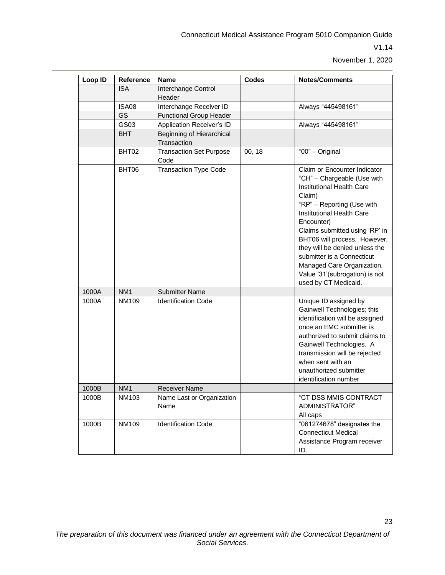23

| Loop ID | Reference       | <b>Name</b>                              | <b>Codes</b> | <b>Notes/Comments</b>                                                                                                                                                                                                                                                                                                                                                                                 |
|---------|-----------------|------------------------------------------|--------------|-------------------------------------------------------------------------------------------------------------------------------------------------------------------------------------------------------------------------------------------------------------------------------------------------------------------------------------------------------------------------------------------------------|
|         | <b>ISA</b>      | Interchange Control                      |              |                                                                                                                                                                                                                                                                                                                                                                                                       |
|         |                 | Header                                   |              |                                                                                                                                                                                                                                                                                                                                                                                                       |
|         | ISA08           | Interchange Receiver ID                  |              | Always "445498161"                                                                                                                                                                                                                                                                                                                                                                                    |
|         | GS              | <b>Functional Group Header</b>           |              |                                                                                                                                                                                                                                                                                                                                                                                                       |
|         | GS03            | Application Receiver's ID                |              | Always "445498161"                                                                                                                                                                                                                                                                                                                                                                                    |
|         | BHT             | Beginning of Hierarchical<br>Transaction |              |                                                                                                                                                                                                                                                                                                                                                                                                       |
|         | BHT02           | <b>Transaction Set Purpose</b><br>Code   | 00, 18       | "00" - Original                                                                                                                                                                                                                                                                                                                                                                                       |
|         | BHT06           | <b>Transaction Type Code</b>             |              | Claim or Encounter Indicator<br>"CH" - Chargeable (Use with<br>Institutional Health Care<br>Claim)<br>"RP" - Reporting (Use with<br>Institutional Health Care<br>Encounter)<br>Claims submitted using 'RP' in<br>BHT06 will process. However,<br>they will be denied unless the<br>submitter is a Connecticut<br>Managed Care Organization.<br>Value '31'(subrogation) is not<br>used by CT Medicaid. |
| 1000A   | NM <sub>1</sub> | <b>Submitter Name</b>                    |              |                                                                                                                                                                                                                                                                                                                                                                                                       |
| 1000A   | NM109           | <b>Identification Code</b>               |              | Unique ID assigned by<br>Gainwell Technologies; this<br>identification will be assigned<br>once an EMC submitter is<br>authorized to submit claims to<br>Gainwell Technologies. A<br>transmission will be rejected<br>when sent with an<br>unauthorized submitter<br>identification number                                                                                                            |
| 1000B   | NM <sub>1</sub> | <b>Receiver Name</b>                     |              |                                                                                                                                                                                                                                                                                                                                                                                                       |
| 1000B   | NM103           | Name Last or Organization<br>Name        |              | "CT DSS MMIS CONTRACT<br>ADMINISTRATOR"<br>All caps                                                                                                                                                                                                                                                                                                                                                   |
| 1000B   | NM109           | <b>Identification Code</b>               |              | "061274678" designates the<br><b>Connecticut Medical</b><br>Assistance Program receiver<br>ID.                                                                                                                                                                                                                                                                                                        |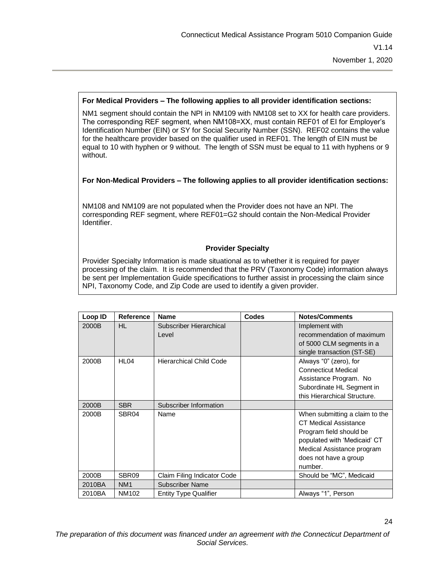#### **For Medical Providers – The following applies to all provider identification sections:**

NM1 segment should contain the NPI in NM109 with NM108 set to XX for health care providers. The corresponding REF segment, when NM108=XX, must contain REF01 of EI for Employer's Identification Number (EIN) or SY for Social Security Number (SSN). REF02 contains the value for the healthcare provider based on the qualifier used in REF01. The length of EIN must be equal to 10 with hyphen or 9 without. The length of SSN must be equal to 11 with hyphens or 9 without.

#### **For Non-Medical Providers – The following applies to all provider identification sections:**

NM108 and NM109 are not populated when the Provider does not have an NPI. The corresponding REF segment, where REF01=G2 should contain the Non-Medical Provider Identifier.

#### **Provider Specialty**

Provider Specialty Information is made situational as to whether it is required for payer processing of the claim. It is recommended that the PRV (Taxonomy Code) information always be sent per Implementation Guide specifications to further assist in processing the claim since NPI, Taxonomy Code, and Zip Code are used to identify a given provider.

| Loop ID | <b>Reference</b>  | <b>Name</b>                    | <b>Codes</b> | <b>Notes/Comments</b>          |
|---------|-------------------|--------------------------------|--------------|--------------------------------|
| 2000B   | HL.               | Subscriber Hierarchical        |              | Implement with                 |
|         |                   | Level                          |              | recommendation of maximum      |
|         |                   |                                |              | of 5000 CLM segments in a      |
|         |                   |                                |              | single transaction (ST-SE)     |
| 2000B   | HL <sub>04</sub>  | <b>Hierarchical Child Code</b> |              | Always "0" (zero), for         |
|         |                   |                                |              | <b>Connecticut Medical</b>     |
|         |                   |                                |              | Assistance Program. No         |
|         |                   |                                |              | Subordinate HL Segment in      |
|         |                   |                                |              | this Hierarchical Structure.   |
| 2000B   | <b>SBR</b>        | Subscriber Information         |              |                                |
| 2000B   | SBR <sub>04</sub> | Name                           |              | When submitting a claim to the |
|         |                   |                                |              | <b>CT Medical Assistance</b>   |
|         |                   |                                |              | Program field should be        |
|         |                   |                                |              | populated with 'Medicaid' CT   |
|         |                   |                                |              | Medical Assistance program     |
|         |                   |                                |              | does not have a group          |
|         |                   |                                |              | number.                        |
| 2000B   | SBR09             | Claim Filing Indicator Code    |              | Should be "MC", Medicaid       |
| 2010BA  | NM <sub>1</sub>   | <b>Subscriber Name</b>         |              |                                |
| 2010BA  | NM102             | <b>Entity Type Qualifier</b>   |              | Always "1", Person             |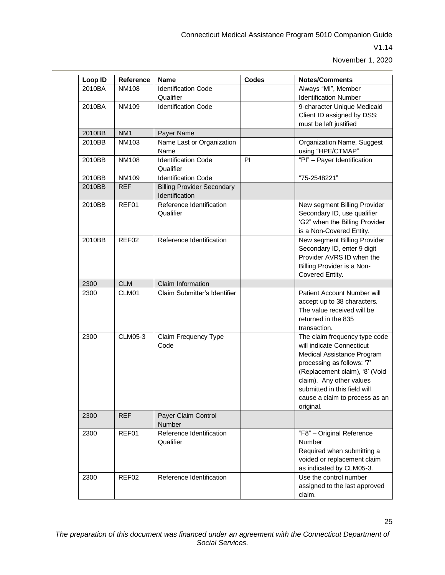| Loop ID | Reference       | <b>Name</b>                                         | <b>Codes</b> | <b>Notes/Comments</b>                                                                                                                                                                                                                                               |
|---------|-----------------|-----------------------------------------------------|--------------|---------------------------------------------------------------------------------------------------------------------------------------------------------------------------------------------------------------------------------------------------------------------|
| 2010BA  | NM108           | <b>Identification Code</b>                          |              | Always "MI", Member                                                                                                                                                                                                                                                 |
|         |                 | Qualifier                                           |              | <b>Identification Number</b>                                                                                                                                                                                                                                        |
| 2010BA  | <b>NM109</b>    | <b>Identification Code</b>                          |              | 9-character Unique Medicaid                                                                                                                                                                                                                                         |
|         |                 |                                                     |              | Client ID assigned by DSS;                                                                                                                                                                                                                                          |
|         |                 |                                                     |              | must be left justified                                                                                                                                                                                                                                              |
| 2010BB  | NM <sub>1</sub> | Payer Name                                          |              |                                                                                                                                                                                                                                                                     |
| 2010BB  | NM103           | Name Last or Organization<br>Name                   |              | Organization Name, Suggest<br>using "HPE/CTMAP"                                                                                                                                                                                                                     |
| 2010BB  | <b>NM108</b>    | <b>Identification Code</b><br>Qualifier             | PI           | "Pl" - Payer Identification                                                                                                                                                                                                                                         |
| 2010BB  | NM109           | <b>Identification Code</b>                          |              | "75-2548221"                                                                                                                                                                                                                                                        |
| 2010BB  | <b>REF</b>      | <b>Billing Provider Secondary</b><br>Identification |              |                                                                                                                                                                                                                                                                     |
| 2010BB  | REF01           | Reference Identification<br>Qualifier               |              | New segment Billing Provider<br>Secondary ID, use qualifier<br>'G2" when the Billing Provider<br>is a Non-Covered Entity.                                                                                                                                           |
| 2010BB  | REF02           | Reference Identification                            |              | New segment Billing Provider<br>Secondary ID, enter 9 digit<br>Provider AVRS ID when the<br>Billing Provider is a Non-<br>Covered Entity.                                                                                                                           |
| 2300    | <b>CLM</b>      | Claim Information                                   |              |                                                                                                                                                                                                                                                                     |
| 2300    | CLM01           | Claim Submitter's Identifier                        |              | Patient Account Number will<br>accept up to 38 characters.<br>The value received will be<br>returned in the 835<br>transaction.                                                                                                                                     |
| 2300    | <b>CLM05-3</b>  | Claim Frequency Type<br>Code                        |              | The claim frequency type code<br>will indicate Connecticut<br>Medical Assistance Program<br>processing as follows: '7'<br>(Replacement claim), '8' (Void<br>claim). Any other values<br>submitted in this field will<br>cause a claim to process as an<br>original. |
| 2300    | <b>REF</b>      | Payer Claim Control<br>Number                       |              |                                                                                                                                                                                                                                                                     |
| 2300    | REF01           | Reference Identification<br>Qualifier               |              | "F8" - Original Reference<br>Number<br>Required when submitting a<br>voided or replacement claim<br>as indicated by CLM05-3.                                                                                                                                        |
| 2300    | REF02           | Reference Identification                            |              | Use the control number<br>assigned to the last approved<br>claim.                                                                                                                                                                                                   |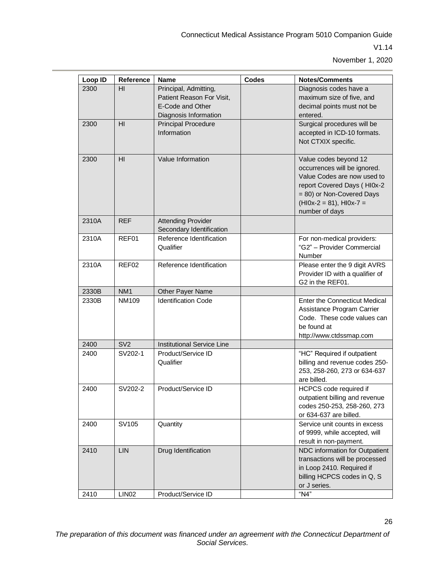| Loop ID | Reference         | <b>Name</b>                                                                                     | <b>Codes</b> | <b>Notes/Comments</b>                                                                                                                                                                            |
|---------|-------------------|-------------------------------------------------------------------------------------------------|--------------|--------------------------------------------------------------------------------------------------------------------------------------------------------------------------------------------------|
| 2300    | HI                | Principal, Admitting,<br>Patient Reason For Visit,<br>E-Code and Other<br>Diagnosis Information |              | Diagnosis codes have a<br>maximum size of five, and<br>decimal points must not be<br>entered.                                                                                                    |
| 2300    | H <sub>II</sub>   | <b>Principal Procedure</b><br>Information                                                       |              | Surgical procedures will be<br>accepted in ICD-10 formats.<br>Not CTXIX specific.                                                                                                                |
| 2300    | HI                | Value Information                                                                               |              | Value codes beyond 12<br>occurrences will be ignored.<br>Value Codes are now used to<br>report Covered Days (HI0x-2<br>= 80) or Non-Covered Days<br>$(H10x-2 = 81)$ , HI0x-7 =<br>number of days |
| 2310A   | <b>REF</b>        | <b>Attending Provider</b><br>Secondary Identification                                           |              |                                                                                                                                                                                                  |
| 2310A   | REF01             | Reference Identification<br>Qualifier                                                           |              | For non-medical providers:<br>"G2" - Provider Commercial<br>Number                                                                                                                               |
| 2310A   | REF02             | Reference Identification                                                                        |              | Please enter the 9 digit AVRS<br>Provider ID with a qualifier of<br>G2 in the REF01.                                                                                                             |
| 2330B   | NM <sub>1</sub>   | Other Payer Name                                                                                |              |                                                                                                                                                                                                  |
| 2330B   | <b>NM109</b>      | <b>Identification Code</b>                                                                      |              | <b>Enter the Connecticut Medical</b><br>Assistance Program Carrier<br>Code. These code values can<br>be found at<br>http://www.ctdssmap.com                                                      |
| 2400    | SV <sub>2</sub>   | Institutional Service Line                                                                      |              |                                                                                                                                                                                                  |
| 2400    | SV202-1           | Product/Service ID<br>Qualifier                                                                 |              | "HC" Required if outpatient<br>billing and revenue codes 250-<br>253, 258-260, 273 or 634-637<br>are billed.                                                                                     |
| 2400    | SV202-2           | Product/Service ID                                                                              |              | HCPCS code required if<br>outpatient billing and revenue<br>codes 250-253, 258-260, 273<br>or 634-637 are billed.                                                                                |
| 2400    | SV105             | Quantity                                                                                        |              | Service unit counts in excess<br>of 9999, while accepted, will<br>result in non-payment.                                                                                                         |
| 2410    | <b>LIN</b>        | Drug Identification                                                                             |              | NDC information for Outpatient<br>transactions will be processed<br>in Loop 2410. Required if<br>billing HCPCS codes in Q, S<br>or J series.                                                     |
| 2410    | LIN <sub>02</sub> | Product/Service ID                                                                              |              | "N4"                                                                                                                                                                                             |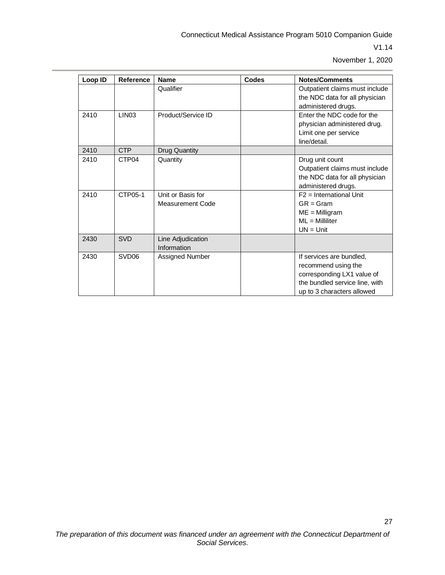| Loop ID | Reference         | <b>Name</b>          | Codes | <b>Notes/Comments</b>                                            |
|---------|-------------------|----------------------|-------|------------------------------------------------------------------|
|         |                   | Qualifier            |       | Outpatient claims must include<br>the NDC data for all physician |
|         |                   |                      |       | administered drugs.                                              |
| 2410    | LIN <sub>03</sub> | Product/Service ID   |       | Enter the NDC code for the                                       |
|         |                   |                      |       | physician administered drug.                                     |
|         |                   |                      |       | Limit one per service                                            |
|         |                   |                      |       | line/detail.                                                     |
| 2410    | <b>CTP</b>        | <b>Drug Quantity</b> |       |                                                                  |
| 2410    | CTP <sub>04</sub> | Quantity             |       | Drug unit count                                                  |
|         |                   |                      |       | Outpatient claims must include                                   |
|         |                   |                      |       | the NDC data for all physician                                   |
|         |                   |                      |       | administered drugs.                                              |
| 2410    | CTP05-1           | Unit or Basis for    |       | $F2 = International Unit$                                        |
|         |                   | Measurement Code     |       | $GR = Gram$                                                      |
|         |                   |                      |       | $ME =$ Milligram                                                 |
|         |                   |                      |       | $ML =$ Milliliter                                                |
|         |                   |                      |       | $UN = Unit$                                                      |
| 2430    | <b>SVD</b>        | Line Adjudication    |       |                                                                  |
|         |                   | Information          |       |                                                                  |
| 2430    | SVD <sub>06</sub> | Assigned Number      |       | If services are bundled,                                         |
|         |                   |                      |       | recommend using the                                              |
|         |                   |                      |       | corresponding LX1 value of                                       |
|         |                   |                      |       | the bundled service line, with                                   |
|         |                   |                      |       | up to 3 characters allowed                                       |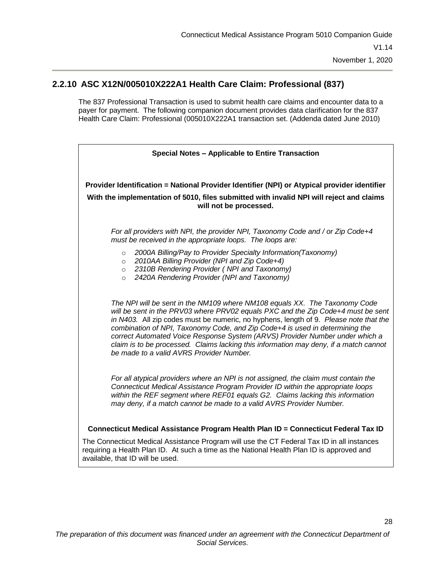#### **2.2.10 ASC X12N/005010X222A1 Health Care Claim: Professional (837)**

<span id="page-32-0"></span>The 837 Professional Transaction is used to submit health care claims and encounter data to a payer for payment. The following companion document provides data clarification for the 837 Health Care Claim: Professional (005010X222A1 transaction set. (Addenda dated June 2010)

| Special Notes - Applicable to Entire Transaction                                                                                                                                                                                                                                                                                                                                                                                                                                                                                                             |  |  |  |  |  |
|--------------------------------------------------------------------------------------------------------------------------------------------------------------------------------------------------------------------------------------------------------------------------------------------------------------------------------------------------------------------------------------------------------------------------------------------------------------------------------------------------------------------------------------------------------------|--|--|--|--|--|
| Provider Identification = National Provider Identifier (NPI) or Atypical provider identifier                                                                                                                                                                                                                                                                                                                                                                                                                                                                 |  |  |  |  |  |
| With the implementation of 5010, files submitted with invalid NPI will reject and claims<br>will not be processed.                                                                                                                                                                                                                                                                                                                                                                                                                                           |  |  |  |  |  |
| For all providers with NPI, the provider NPI, Taxonomy Code and / or Zip Code+4<br>must be received in the appropriate loops. The loops are:                                                                                                                                                                                                                                                                                                                                                                                                                 |  |  |  |  |  |
| 2000A Billing/Pay to Provider Specialty Information(Taxonomy)<br>$\circ$<br>2010AA Billing Provider (NPI and Zip Code+4)                                                                                                                                                                                                                                                                                                                                                                                                                                     |  |  |  |  |  |
| $\circ$<br>2310B Rendering Provider (NPI and Taxonomy)<br>$\circ$                                                                                                                                                                                                                                                                                                                                                                                                                                                                                            |  |  |  |  |  |
| 2420A Rendering Provider (NPI and Taxonomy)<br>$\circ$                                                                                                                                                                                                                                                                                                                                                                                                                                                                                                       |  |  |  |  |  |
| The NPI will be sent in the NM109 where NM108 equals XX. The Taxonomy Code<br>will be sent in the PRV03 where PRV02 equals PXC and the Zip Code+4 must be sent<br>in N403. All zip codes must be numeric, no hyphens, length of 9. Please note that the<br>combination of NPI, Taxonomy Code, and Zip Code+4 is used in determining the<br>correct Automated Voice Response System (ARVS) Provider Number under which a<br>claim is to be processed. Claims lacking this information may deny, if a match cannot<br>be made to a valid AVRS Provider Number. |  |  |  |  |  |
| For all atypical providers where an NPI is not assigned, the claim must contain the<br>Connecticut Medical Assistance Program Provider ID within the appropriate loops<br>within the REF segment where REF01 equals G2. Claims lacking this information<br>may deny, if a match cannot be made to a valid AVRS Provider Number.                                                                                                                                                                                                                              |  |  |  |  |  |
| Connecticut Medical Assistance Program Health Plan ID = Connecticut Federal Tax ID                                                                                                                                                                                                                                                                                                                                                                                                                                                                           |  |  |  |  |  |
| The Connecticut Medical Assistance Program will use the CT Federal Tax ID in all instances                                                                                                                                                                                                                                                                                                                                                                                                                                                                   |  |  |  |  |  |
| requiring a Health Plan ID. At such a time as the National Health Plan ID is approved and<br>available, that ID will be used.                                                                                                                                                                                                                                                                                                                                                                                                                                |  |  |  |  |  |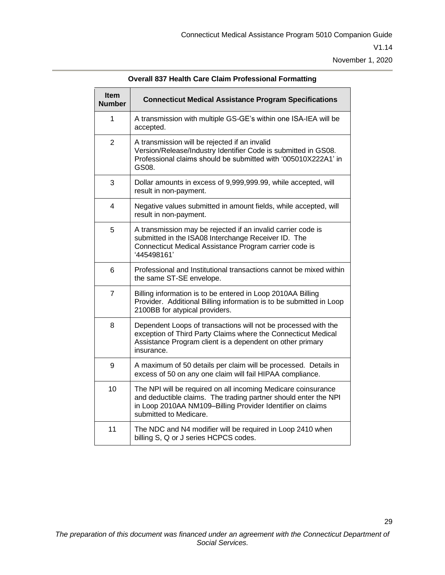29

| <b>Item</b><br><b>Number</b> | <b>Connecticut Medical Assistance Program Specifications</b>                                                                                                                                                             |
|------------------------------|--------------------------------------------------------------------------------------------------------------------------------------------------------------------------------------------------------------------------|
| 1                            | A transmission with multiple GS-GE's within one ISA-IEA will be<br>accepted.                                                                                                                                             |
| $\overline{2}$               | A transmission will be rejected if an invalid<br>Version/Release/Industry Identifier Code is submitted in GS08.<br>Professional claims should be submitted with '005010X222A1' in<br>GS08.                               |
| 3                            | Dollar amounts in excess of 9,999,999.99, while accepted, will<br>result in non-payment.                                                                                                                                 |
| 4                            | Negative values submitted in amount fields, while accepted, will<br>result in non-payment.                                                                                                                               |
| 5                            | A transmission may be rejected if an invalid carrier code is<br>submitted in the ISA08 Interchange Receiver ID. The<br>Connecticut Medical Assistance Program carrier code is<br>'445498161'                             |
| 6                            | Professional and Institutional transactions cannot be mixed within<br>the same ST-SE envelope.                                                                                                                           |
| $\overline{7}$               | Billing information is to be entered in Loop 2010AA Billing<br>Provider. Additional Billing information is to be submitted in Loop<br>2100BB for atypical providers.                                                     |
| 8                            | Dependent Loops of transactions will not be processed with the<br>exception of Third Party Claims where the Connecticut Medical<br>Assistance Program client is a dependent on other primary<br>insurance.               |
| 9                            | A maximum of 50 details per claim will be processed. Details in<br>excess of 50 on any one claim will fail HIPAA compliance.                                                                                             |
| 10                           | The NPI will be required on all incoming Medicare coinsurance<br>and deductible claims. The trading partner should enter the NPI<br>in Loop 2010AA NM109-Billing Provider Identifier on claims<br>submitted to Medicare. |
| 11                           | The NDC and N4 modifier will be required in Loop 2410 when<br>billing S, Q or J series HCPCS codes.                                                                                                                      |

**Overall 837 Health Care Claim Professional Formatting**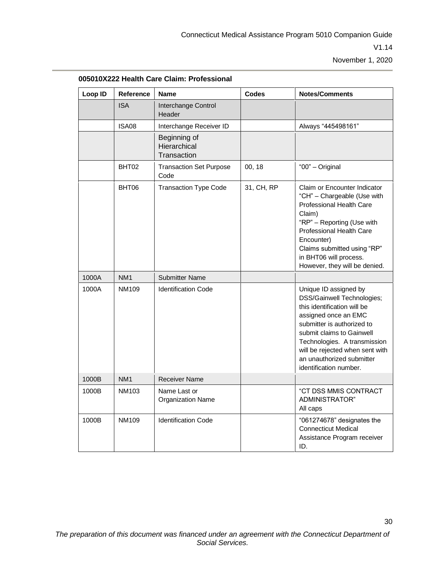| Loop ID | <b>Reference</b> | <b>Name</b>                                 | Codes      | <b>Notes/Comments</b>                                                                                                                                                                                                                                                                           |
|---------|------------------|---------------------------------------------|------------|-------------------------------------------------------------------------------------------------------------------------------------------------------------------------------------------------------------------------------------------------------------------------------------------------|
|         | <b>ISA</b>       | Interchange Control<br>Header               |            |                                                                                                                                                                                                                                                                                                 |
|         | <b>ISA08</b>     | Interchange Receiver ID                     |            | Always "445498161"                                                                                                                                                                                                                                                                              |
|         |                  | Beginning of<br>Hierarchical<br>Transaction |            |                                                                                                                                                                                                                                                                                                 |
|         | BHT02            | <b>Transaction Set Purpose</b><br>Code      | 00, 18     | "00" - Original                                                                                                                                                                                                                                                                                 |
|         | BHT06            | <b>Transaction Type Code</b>                | 31, CH, RP | Claim or Encounter Indicator<br>"CH" - Chargeable (Use with<br>Professional Health Care<br>Claim)<br>"RP" - Reporting (Use with<br>Professional Health Care<br>Encounter)<br>Claims submitted using "RP"<br>in BHT06 will process.<br>However, they will be denied.                             |
| 1000A   | NM <sub>1</sub>  | <b>Submitter Name</b>                       |            |                                                                                                                                                                                                                                                                                                 |
| 1000A   | NM109            | <b>Identification Code</b>                  |            | Unique ID assigned by<br>DSS/Gainwell Technologies;<br>this identification will be<br>assigned once an EMC<br>submitter is authorized to<br>submit claims to Gainwell<br>Technologies. A transmission<br>will be rejected when sent with<br>an unauthorized submitter<br>identification number. |
| 1000B   | NM <sub>1</sub>  | <b>Receiver Name</b>                        |            |                                                                                                                                                                                                                                                                                                 |
| 1000B   | NM103            | Name Last or<br><b>Organization Name</b>    |            | "CT DSS MMIS CONTRACT<br>ADMINISTRATOR"<br>All caps                                                                                                                                                                                                                                             |
| 1000B   | <b>NM109</b>     | <b>Identification Code</b>                  |            | "061274678" designates the<br><b>Connecticut Medical</b><br>Assistance Program receiver<br>ID.                                                                                                                                                                                                  |

**005010X222 Health Care Claim: Professional**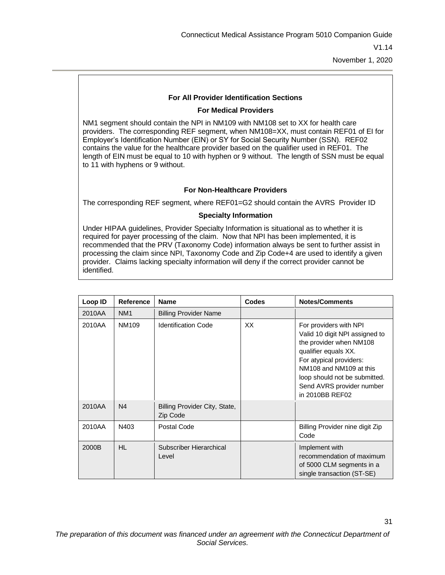31

#### **For All Provider Identification Sections**

#### **For Medical Providers**

NM1 segment should contain the NPI in NM109 with NM108 set to XX for health care providers. The corresponding REF segment, when NM108=XX, must contain REF01 of EI for Employer's Identification Number (EIN) or SY for Social Security Number (SSN). REF02 contains the value for the healthcare provider based on the qualifier used in REF01. The length of EIN must be equal to 10 with hyphen or 9 without. The length of SSN must be equal to 11 with hyphens or 9 without.

#### **For Non-Healthcare Providers**

The corresponding REF segment, where REF01=G2 should contain the AVRS Provider ID

#### **Specialty Information**

Under HIPAA guidelines, Provider Specialty Information is situational as to whether it is required for payer processing of the claim. Now that NPI has been implemented, it is recommended that the PRV (Taxonomy Code) information always be sent to further assist in processing the claim since NPI, Taxonomy Code and Zip Code+4 are used to identify a given provider. Claims lacking specialty information will deny if the correct provider cannot be identified.

| Loop ID | Reference       | <b>Name</b>                               | <b>Codes</b> | <b>Notes/Comments</b>                                                                                                                                                                                                                              |
|---------|-----------------|-------------------------------------------|--------------|----------------------------------------------------------------------------------------------------------------------------------------------------------------------------------------------------------------------------------------------------|
| 2010AA  | NM <sub>1</sub> | <b>Billing Provider Name</b>              |              |                                                                                                                                                                                                                                                    |
| 2010AA  | NM109           | <b>Identification Code</b>                | XX           | For providers with NPI<br>Valid 10 digit NPI assigned to<br>the provider when NM108<br>qualifier equals XX.<br>For atypical providers:<br>NM108 and NM109 at this<br>loop should not be submitted.<br>Send AVRS provider number<br>in 2010BB REF02 |
| 2010AA  | N <sub>4</sub>  | Billing Provider City, State,<br>Zip Code |              |                                                                                                                                                                                                                                                    |
| 2010AA  | N403            | Postal Code                               |              | Billing Provider nine digit Zip<br>Code                                                                                                                                                                                                            |
| 2000B   | HL.             | Subscriber Hierarchical<br>Level          |              | Implement with<br>recommendation of maximum<br>of 5000 CLM segments in a<br>single transaction (ST-SE)                                                                                                                                             |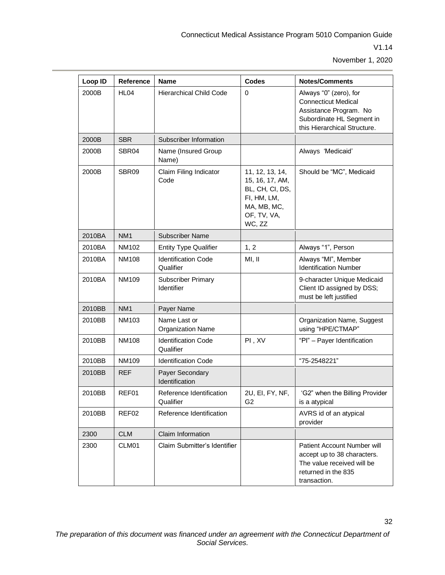| Loop ID | Reference        | <b>Name</b>                              | <b>Codes</b>                                                                                                 | <b>Notes/Comments</b>                                                                                                                       |
|---------|------------------|------------------------------------------|--------------------------------------------------------------------------------------------------------------|---------------------------------------------------------------------------------------------------------------------------------------------|
| 2000B   | HL <sub>04</sub> | <b>Hierarchical Child Code</b>           | 0                                                                                                            | Always "0" (zero), for<br><b>Connecticut Medical</b><br>Assistance Program. No<br>Subordinate HL Segment in<br>this Hierarchical Structure. |
| 2000B   | <b>SBR</b>       | Subscriber Information                   |                                                                                                              |                                                                                                                                             |
| 2000B   | SBR04            | Name (Insured Group<br>Name)             |                                                                                                              | Always 'Medicaid'                                                                                                                           |
| 2000B   | SBR09            | Claim Filing Indicator<br>Code           | 11, 12, 13, 14,<br>15, 16, 17, AM,<br>BL, CH, CI, DS,<br>FI, HM, LM,<br>MA, MB, MC,<br>OF, TV, VA,<br>WC, ZZ | Should be "MC", Medicaid                                                                                                                    |
| 2010BA  | NM <sub>1</sub>  | <b>Subscriber Name</b>                   |                                                                                                              |                                                                                                                                             |
| 2010BA  | <b>NM102</b>     | <b>Entity Type Qualifier</b>             | 1, 2                                                                                                         | Always "1", Person                                                                                                                          |
| 2010BA  | <b>NM108</b>     | <b>Identification Code</b><br>Qualifier  | MI, II                                                                                                       | Always "MI", Member<br><b>Identification Number</b>                                                                                         |
| 2010BA  | NM109            | <b>Subscriber Primary</b><br>Identifier  |                                                                                                              | 9-character Unique Medicaid<br>Client ID assigned by DSS;<br>must be left justified                                                         |
| 2010BB  | NM <sub>1</sub>  | Payer Name                               |                                                                                                              |                                                                                                                                             |
| 2010BB  | <b>NM103</b>     | Name Last or<br><b>Organization Name</b> |                                                                                                              | Organization Name, Suggest<br>using "HPE/CTMAP"                                                                                             |
| 2010BB  | <b>NM108</b>     | <b>Identification Code</b><br>Qualifier  | PI, XV                                                                                                       | "Pl" - Payer Identification                                                                                                                 |
| 2010BB  | <b>NM109</b>     | <b>Identification Code</b>               |                                                                                                              | "75-2548221"                                                                                                                                |
| 2010BB  | <b>REF</b>       | Payer Secondary<br>Identification        |                                                                                                              |                                                                                                                                             |
| 2010BB  | REF01            | Reference Identification<br>Qualifier    | 2U, EI, FY, NF,<br>G <sub>2</sub>                                                                            | 'G2" when the Billing Provider<br>is a atypical                                                                                             |
| 2010BB  | REF02            | Reference Identification                 |                                                                                                              | AVRS id of an atypical<br>provider                                                                                                          |
| 2300    | <b>CLM</b>       | Claim Information                        |                                                                                                              |                                                                                                                                             |
| 2300    | CLM01            | Claim Submitter's Identifier             |                                                                                                              | Patient Account Number will<br>accept up to 38 characters.<br>The value received will be<br>returned in the 835<br>transaction.             |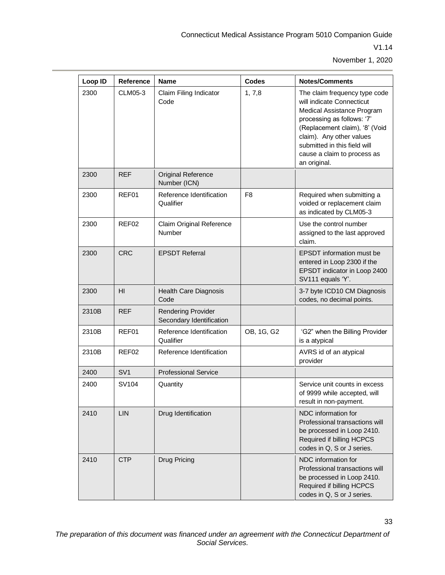| Loop ID | Reference       | <b>Name</b>                                           | <b>Codes</b>   | <b>Notes/Comments</b>                                                                                                                                                                                                                                               |
|---------|-----------------|-------------------------------------------------------|----------------|---------------------------------------------------------------------------------------------------------------------------------------------------------------------------------------------------------------------------------------------------------------------|
| 2300    | <b>CLM05-3</b>  | Claim Filing Indicator<br>Code                        | 1, 7, 8        | The claim frequency type code<br>will indicate Connecticut<br>Medical Assistance Program<br>processing as follows: '7'<br>(Replacement claim), '8' (Void<br>claim). Any other values<br>submitted in this field will<br>cause a claim to process as<br>an original. |
| 2300    | <b>REF</b>      | Original Reference<br>Number (ICN)                    |                |                                                                                                                                                                                                                                                                     |
| 2300    | REF01           | Reference Identification<br>Qualifier                 | F <sub>8</sub> | Required when submitting a<br>voided or replacement claim<br>as indicated by CLM05-3                                                                                                                                                                                |
| 2300    | REF02           | Claim Original Reference<br>Number                    |                | Use the control number<br>assigned to the last approved<br>claim.                                                                                                                                                                                                   |
| 2300    | <b>CRC</b>      | <b>EPSDT Referral</b>                                 |                | <b>EPSDT</b> information must be<br>entered in Loop 2300 if the<br>EPSDT indicator in Loop 2400<br>SV111 equals 'Y'.                                                                                                                                                |
| 2300    | H <sub>II</sub> | <b>Health Care Diagnosis</b><br>Code                  |                | 3-7 byte ICD10 CM Diagnosis<br>codes, no decimal points.                                                                                                                                                                                                            |
| 2310B   | <b>REF</b>      | <b>Rendering Provider</b><br>Secondary Identification |                |                                                                                                                                                                                                                                                                     |
| 2310B   | REF01           | Reference Identification<br>Qualifier                 | OB, 1G, G2     | 'G2" when the Billing Provider<br>is a atypical                                                                                                                                                                                                                     |
| 2310B   | REF02           | Reference Identification                              |                | AVRS id of an atypical<br>provider                                                                                                                                                                                                                                  |
| 2400    | SV <sub>1</sub> | <b>Professional Service</b>                           |                |                                                                                                                                                                                                                                                                     |
| 2400    | SV104           | Quantity                                              |                | Service unit counts in excess<br>of 9999 while accepted, will<br>result in non-payment.                                                                                                                                                                             |
| 2410    | LIN             | Drug Identification                                   |                | NDC information for<br>Professional transactions will<br>be processed in Loop 2410.<br>Required if billing HCPCS<br>codes in Q, S or J series.                                                                                                                      |
| 2410    | <b>CTP</b>      | Drug Pricing                                          |                | NDC information for<br>Professional transactions will<br>be processed in Loop 2410.<br>Required if billing HCPCS<br>codes in Q, S or J series.                                                                                                                      |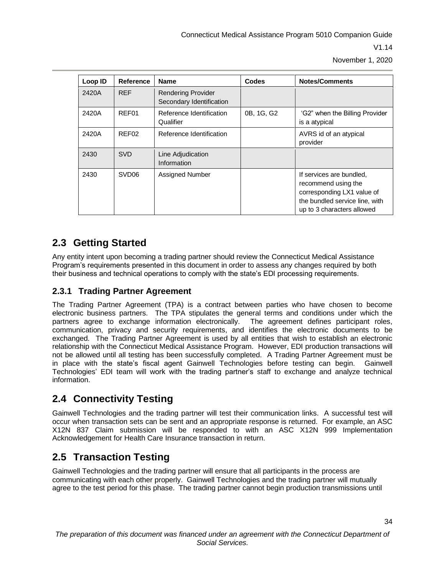| Loop ID | <b>Reference</b>  | <b>Name</b>                                           | <b>Codes</b> | <b>Notes/Comments</b>                                                                                                                         |
|---------|-------------------|-------------------------------------------------------|--------------|-----------------------------------------------------------------------------------------------------------------------------------------------|
| 2420A   | <b>REF</b>        | <b>Rendering Provider</b><br>Secondary Identification |              |                                                                                                                                               |
| 2420A   | REF01             | Reference Identification<br>Qualifier                 | 0B, 1G, G2   | 'G2" when the Billing Provider<br>is a atypical                                                                                               |
| 2420A   | REF02             | Reference Identification                              |              | AVRS id of an atypical<br>provider                                                                                                            |
| 2430    | <b>SVD</b>        | Line Adjudication<br>Information                      |              |                                                                                                                                               |
| 2430    | SVD <sub>06</sub> | <b>Assigned Number</b>                                |              | If services are bundled,<br>recommend using the<br>corresponding LX1 value of<br>the bundled service line, with<br>up to 3 characters allowed |

### <span id="page-38-0"></span>**2.3 Getting Started**

Any entity intent upon becoming a trading partner should review the Connecticut Medical Assistance Program's requirements presented in this document in order to assess any changes required by both their business and technical operations to comply with the state's EDI processing requirements.

### <span id="page-38-1"></span>**2.3.1 Trading Partner Agreement**

The Trading Partner Agreement (TPA) is a contract between parties who have chosen to become electronic business partners. The TPA stipulates the general terms and conditions under which the partners agree to exchange information electronically. The agreement defines participant roles, communication, privacy and security requirements, and identifies the electronic documents to be exchanged. The Trading Partner Agreement is used by all entities that wish to establish an electronic relationship with the Connecticut Medical Assistance Program. However, EDI production transactions will not be allowed until all testing has been successfully completed. A Trading Partner Agreement must be in place with the state's fiscal agent Gainwell Technologies before testing can begin. Gainwell Technologies' EDI team will work with the trading partner's staff to exchange and analyze technical information.

### <span id="page-38-2"></span>**2.4 Connectivity Testing**

Gainwell Technologies and the trading partner will test their communication links. A successful test will occur when transaction sets can be sent and an appropriate response is returned. For example, an ASC X12N 837 Claim submission will be responded to with an ASC X12N 999 Implementation Acknowledgement for Health Care Insurance transaction in return.

### <span id="page-38-3"></span>**2.5 Transaction Testing**

Gainwell Technologies and the trading partner will ensure that all participants in the process are communicating with each other properly. Gainwell Technologies and the trading partner will mutually agree to the test period for this phase. The trading partner cannot begin production transmissions until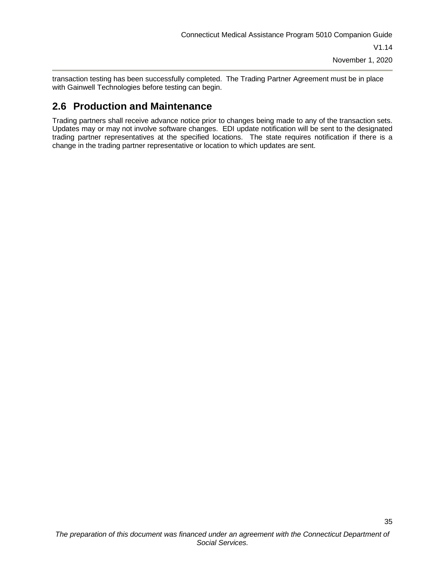transaction testing has been successfully completed. The Trading Partner Agreement must be in place with Gainwell Technologies before testing can begin.

### <span id="page-39-0"></span>**2.6 Production and Maintenance**

Trading partners shall receive advance notice prior to changes being made to any of the transaction sets. Updates may or may not involve software changes. EDI update notification will be sent to the designated trading partner representatives at the specified locations. The state requires notification if there is a change in the trading partner representative or location to which updates are sent.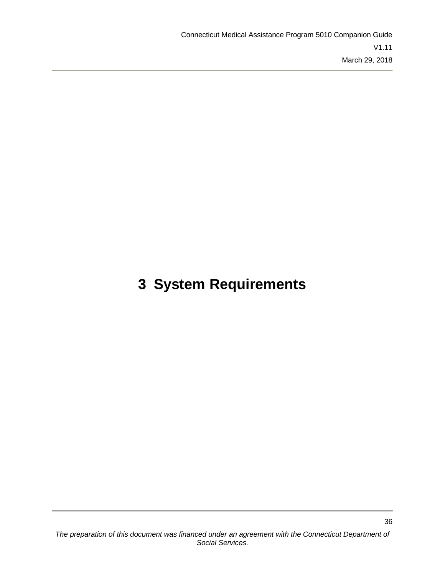## <span id="page-40-0"></span>**3 System Requirements**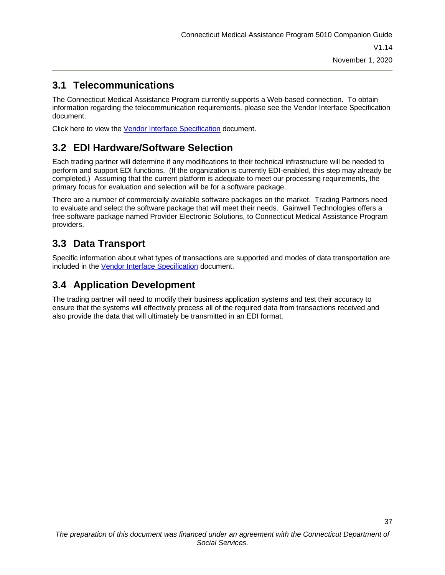### <span id="page-41-0"></span>**3.1 Telecommunications**

The Connecticut Medical Assistance Program currently supports a Web-based connection. To obtain information regarding the telecommunication requirements, please see the Vendor Interface Specification document.

Click here to view the [Vendor Interface Specification](https://www.ctdssmap.com/CTPortal/portals/0/StaticContent/Publications/vendor_interface_specs.pdf) document.

### <span id="page-41-1"></span>**3.2 EDI Hardware/Software Selection**

Each trading partner will determine if any modifications to their technical infrastructure will be needed to perform and support EDI functions. (If the organization is currently EDI-enabled, this step may already be completed.) Assuming that the current platform is adequate to meet our processing requirements, the primary focus for evaluation and selection will be for a software package.

There are a number of commercially available software packages on the market. Trading Partners need to evaluate and select the software package that will meet their needs. Gainwell Technologies offers a free software package named Provider Electronic Solutions, to Connecticut Medical Assistance Program providers.

### <span id="page-41-2"></span>**3.3 Data Transport**

Specific information about what types of transactions are supported and modes of data transportation are included in the [Vendor Interface Specification](https://www.ctdssmap.com/CTPortal/portals/0/StaticContent/Publications/vendor_interface_specs.pdf) document.

### <span id="page-41-3"></span>**3.4 Application Development**

The trading partner will need to modify their business application systems and test their accuracy to ensure that the systems will effectively process all of the required data from transactions received and also provide the data that will ultimately be transmitted in an EDI format.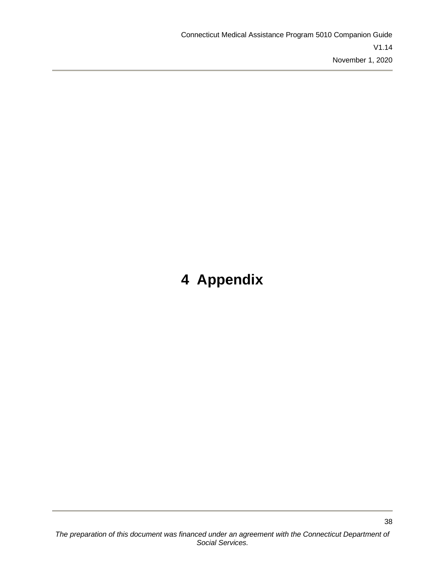## <span id="page-42-0"></span>**4 Appendix**